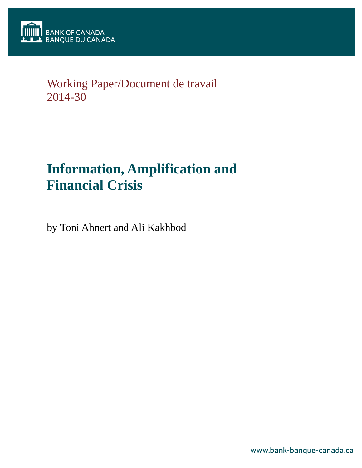

# Working Paper/Document de travail 2014-30

# **Information, Amplification and Financial Crisis**

by Toni Ahnert and Ali Kakhbod

www.bank-banque-canada.ca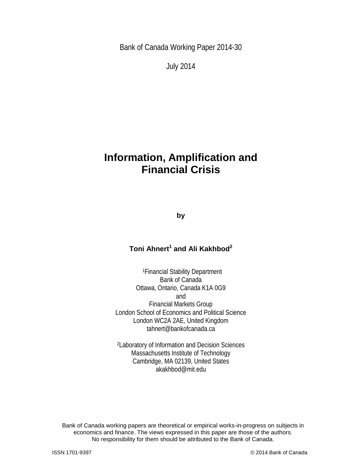Bank of Canada Working Paper 2014-30

July 2014

# **Information, Amplification and Financial Crisis**

**by**

# **Toni Ahnert<sup>1</sup> and Ali Kakhbod<sup>2</sup>**

1Financial Stability Department Bank of Canada Ottawa, Ontario, Canada K1A 0G9 and Financial Markets Group London School of Economics and Political Science London WC2A 2AE, United Kingdom tahnert@bankofcanada.ca

2Laboratory of Information and Decision Sciences Massachusetts Institute of Technology Cambridge, MA 02139, United States akakhbod@mit.edu

2 No responsibility for them should be attributed to the Bank of Canada. Bank of Canada working papers are theoretical or empirical works-in-progress on subjects in economics and finance. The views expressed in this paper are those of the authors.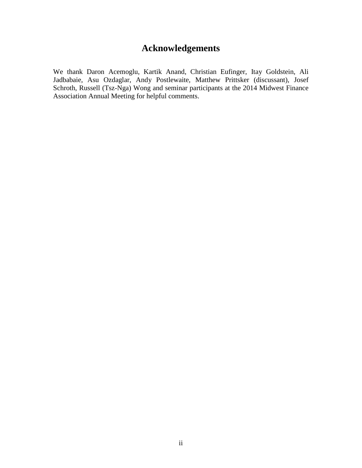# **Acknowledgements**

We thank Daron Acemoglu, Kartik Anand, Christian Eufinger, Itay Goldstein, Ali Jadbabaie, Asu Ozdaglar, Andy Postlewaite, Matthew Prittsker (discussant), Josef Schroth, Russell (Tsz-Nga) Wong and seminar participants at the 2014 Midwest Finance Association Annual Meeting for helpful comments.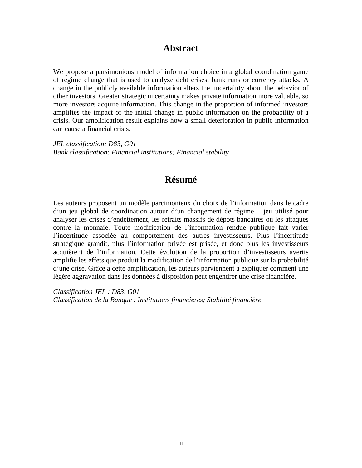## **Abstract**

We propose a parsimonious model of information choice in a global coordination game of regime change that is used to analyze debt crises, bank runs or currency attacks. A change in the publicly available information alters the uncertainty about the behavior of other investors. Greater strategic uncertainty makes private information more valuable, so more investors acquire information. This change in the proportion of informed investors amplifies the impact of the initial change in public information on the probability of a crisis. Our amplification result explains how a small deterioration in public information can cause a financial crisis.

*JEL classification: D83, G01 Bank classification: Financial institutions; Financial stability*

# **Résumé**

Les auteurs proposent un modèle parcimonieux du choix de l'information dans le cadre d'un jeu global de coordination autour d'un changement de régime – jeu utilisé pour analyser les crises d'endettement, les retraits massifs de dépôts bancaires ou les attaques contre la monnaie. Toute modification de l'information rendue publique fait varier l'incertitude associée au comportement des autres investisseurs. Plus l'incertitude stratégique grandit, plus l'information privée est prisée, et donc plus les investisseurs acquièrent de l'information. Cette évolution de la proportion d'investisseurs avertis amplifie les effets que produit la modification de l'information publique sur la probabilité d'une crise. Grâce à cette amplification, les auteurs parviennent à expliquer comment une légère aggravation dans les données à disposition peut engendrer une crise financière.

*Classification JEL : D83, G01 Classification de la Banque : Institutions financières; Stabilité financière*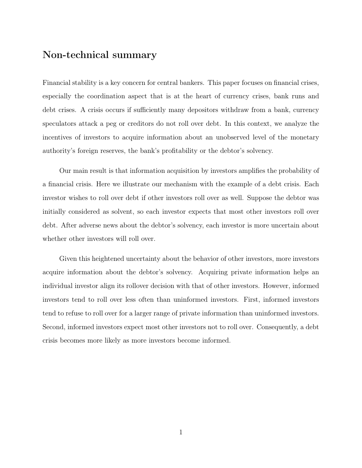# Non-technical summary

Financial stability is a key concern for central bankers. This paper focuses on financial crises, especially the coordination aspect that is at the heart of currency crises, bank runs and debt crises. A crisis occurs if sufficiently many depositors withdraw from a bank, currency speculators attack a peg or creditors do not roll over debt. In this context, we analyze the incentives of investors to acquire information about an unobserved level of the monetary authority's foreign reserves, the bank's profitability or the debtor's solvency.

Our main result is that information acquisition by investors amplifies the probability of a financial crisis. Here we illustrate our mechanism with the example of a debt crisis. Each investor wishes to roll over debt if other investors roll over as well. Suppose the debtor was initially considered as solvent, so each investor expects that most other investors roll over debt. After adverse news about the debtor's solvency, each investor is more uncertain about whether other investors will roll over.

Given this heightened uncertainty about the behavior of other investors, more investors acquire information about the debtor's solvency. Acquiring private information helps an individual investor align its rollover decision with that of other investors. However, informed investors tend to roll over less often than uninformed investors. First, informed investors tend to refuse to roll over for a larger range of private information than uninformed investors. Second, informed investors expect most other investors not to roll over. Consequently, a debt crisis becomes more likely as more investors become informed.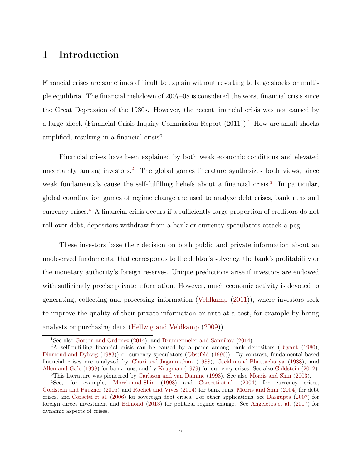# 1 Introduction

Financial crises are sometimes difficult to explain without resorting to large shocks or multiple equilibria. The financial meltdown of 2007–08 is considered the worst financial crisis since the Great Depression of the 1930s. However, the recent financial crisis was not caused by a large shock (Financial Crisis Inquiry Commission Report  $(2011)$  $(2011)$  $(2011)$ ).<sup>1</sup> How are small shocks amplified, resulting in a financial crisis?

Financial crises have been explained by both weak economic conditions and elevated uncertainty among investors.<sup>[2](#page-5-1)</sup> The global games literature synthesizes both views, since weak fundamentals cause the self-fulfilling beliefs about a financial crisis.<sup>[3](#page-5-2)</sup> In particular, global coordination games of regime change are used to analyze debt crises, bank runs and currency crises.[4](#page-5-3) A financial crisis occurs if a sufficiently large proportion of creditors do not roll over debt, depositors withdraw from a bank or currency speculators attack a peg.

These investors base their decision on both public and private information about an unobserved fundamental that corresponds to the debtor's solvency, the bank's profitability or the monetary authority's foreign reserves. Unique predictions arise if investors are endowed with sufficiently precise private information. However, much economic activity is devoted to generating, collecting and processing information [\(Veldkamp](#page-26-0) [\(2011\)](#page-26-0)), where investors seek to improve the quality of their private information ex ante at a cost, for example by hiring analysts or purchasing data [\(Hellwig and Veldkamp](#page-25-0) [\(2009\)](#page-25-0)).

<span id="page-5-0"></span><sup>&</sup>lt;sup>1</sup>See also [Gorton and Ordonez](#page-25-1) [\(2014](#page-23-0)), and [Brunnermeier and Sannikov](#page-23-0) (2014).

<span id="page-5-1"></span><sup>&</sup>lt;sup>2</sup>A self-fulfilling financial crisis can be caused by a panic among bank depositors [\(Bryant](#page-23-1) [\(1980\)](#page-23-1), [Diamond and Dybvig](#page-24-0) [\(1983\)](#page-24-0)) or currency speculators [\(Obstfeld](#page-26-1) [\(1996\)](#page-26-1)). By contrast, fundamental-based financial crises are analyzed by [Chari and Jagannathan](#page-23-2) [\(1988\)](#page-23-2), [Jacklin and Bhattacharya](#page-25-2) [\(1988\)](#page-25-2), and [Allen and Gale](#page-23-3) [\(1998\)](#page-23-3) for bank runs, and by [Krugman](#page-25-3) [\(1979\)](#page-25-3) for currency crises. See also [Goldstein](#page-24-1) [\(2012\)](#page-24-1).

<span id="page-5-2"></span><sup>3</sup>This literature was pioneered by [Carlsson and van Damme](#page-23-4) [\(1993\)](#page-23-4). See also [Morris and Shin](#page-26-2) [\(2003\)](#page-26-2).

<span id="page-5-3"></span><sup>4</sup>See, for example, [Morris and Shin](#page-25-4) [\(1998\)](#page-25-4) and [Corsetti et al.](#page-24-2) [\(2004](#page-24-2)) for currency crises, [Goldstein and Pauzner](#page-24-3) [\(2005\)](#page-24-3) and [Rochet and Vives](#page-26-3) [\(2004\)](#page-26-3) for bank runs, [Morris and Shin](#page-26-4) [\(2004\)](#page-26-4) for debt crises, and [Corsetti et al.](#page-24-4) [\(2006\)](#page-24-4) for sovereign debt crises. For other applications, see [Dasgupta](#page-24-5) [\(2007\)](#page-24-5) for foreign direct investment and [Edmond](#page-24-6) [\(2013\)](#page-24-6) for political regime change. See [Angeletos et al.](#page-23-5) [\(2007](#page-23-5)) for dynamic aspects of crises.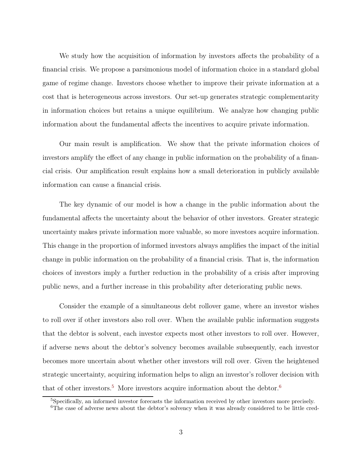We study how the acquisition of information by investors affects the probability of a financial crisis. We propose a parsimonious model of information choice in a standard global game of regime change. Investors choose whether to improve their private information at a cost that is heterogeneous across investors. Our set-up generates strategic complementarity in information choices but retains a unique equilibrium. We analyze how changing public information about the fundamental affects the incentives to acquire private information.

Our main result is amplification. We show that the private information choices of investors amplify the effect of any change in public information on the probability of a financial crisis. Our amplification result explains how a small deterioration in publicly available information can cause a financial crisis.

The key dynamic of our model is how a change in the public information about the fundamental affects the uncertainty about the behavior of other investors. Greater strategic uncertainty makes private information more valuable, so more investors acquire information. This change in the proportion of informed investors always amplifies the impact of the initial change in public information on the probability of a financial crisis. That is, the information choices of investors imply a further reduction in the probability of a crisis after improving public news, and a further increase in this probability after deteriorating public news.

Consider the example of a simultaneous debt rollover game, where an investor wishes to roll over if other investors also roll over. When the available public information suggests that the debtor is solvent, each investor expects most other investors to roll over. However, if adverse news about the debtor's solvency becomes available subsequently, each investor becomes more uncertain about whether other investors will roll over. Given the heightened strategic uncertainty, acquiring information helps to align an investor's rollover decision with that of other investors.<sup>[5](#page-6-0)</sup> More investors acquire information about the debtor.<sup>[6](#page-6-1)</sup>

<span id="page-6-1"></span><span id="page-6-0"></span><sup>5</sup>Specifically, an informed investor forecasts the information received by other investors more precisely.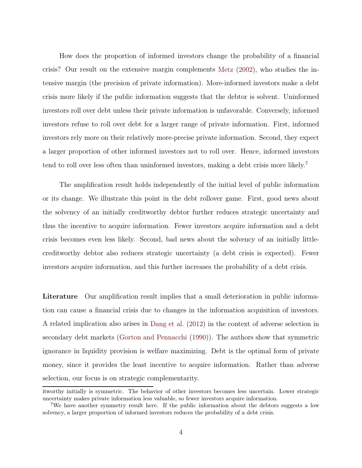How does the proportion of informed investors change the probability of a financial crisis? Our result on the extensive margin complements [Metz](#page-25-5) [\(2002](#page-25-5)), who studies the intensive margin (the precision of private information). More-informed investors make a debt crisis more likely if the public information suggests that the debtor is solvent. Uninformed investors roll over debt unless their private information is unfavorable. Conversely, informed investors refuse to roll over debt for a larger range of private information. First, informed investors rely more on their relatively more-precise private information. Second, they expect a larger proportion of other informed investors not to roll over. Hence, informed investors tend to roll over less often than uninformed investors, making a debt crisis more likely.<sup>[7](#page-7-0)</sup>

The amplification result holds independently of the initial level of public information or its change. We illustrate this point in the debt rollover game. First, good news about the solvency of an initially creditworthy debtor further reduces strategic uncertainty and thus the incentive to acquire information. Fewer investors acquire information and a debt crisis becomes even less likely. Second, bad news about the solvency of an initially littlecreditworthy debtor also reduces strategic uncertainty (a debt crisis is expected). Fewer investors acquire information, and this further increases the probability of a debt crisis.

Literature Our amplification result implies that a small deterioration in public information can cause a financial crisis due to changes in the information acquisition of investors. A related implication also arises in [Dang et al.](#page-24-7) [\(2012](#page-24-7)) in the context of adverse selection in secondary debt markets [\(Gorton and Pennacchi](#page-25-6) [\(1990\)](#page-25-6)). The authors show that symmetric ignorance in liquidity provision is welfare maximizing. Debt is the optimal form of private money, since it provides the least incentive to acquire information. Rather than adverse selection, our focus is on strategic complementarity.

itworthy initially is symmetric. The behavior of other investors becomes less uncertain. Lower strategic uncertainty makes private information less valuable, so fewer investors acquire information.

<span id="page-7-0"></span><sup>7</sup>We have another symmetry result here. If the public information about the debtors suggests a low solvency, a larger proportion of informed investors reduces the probability of a debt crisis.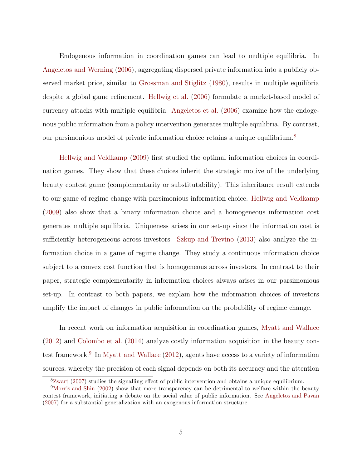Endogenous information in coordination games can lead to multiple equilibria. In [Angeletos and Werning](#page-23-6) [\(2006\)](#page-23-6), aggregating dispersed private information into a publicly observed market price, similar to [Grossman and Stiglitz](#page-25-7) [\(1980\)](#page-25-7), results in multiple equilibria despite a global game refinement. [Hellwig et al.](#page-25-8) [\(2006](#page-25-8)) formulate a market-based model of currency attacks with multiple equilibria. [Angeletos et al.](#page-23-7) [\(2006\)](#page-23-7) examine how the endogenous public information from a policy intervention generates multiple equilibria. By contrast, our parsimonious model of private information choice retains a unique equilibrium.[8](#page-8-0)

[Hellwig and Veldkamp](#page-25-0) [\(2009\)](#page-25-0) first studied the optimal information choices in coordination games. They show that these choices inherit the strategic motive of the underlying beauty contest game (complementarity or substitutability). This inheritance result extends to our game of regime change with parsimonious information choice. [Hellwig and Veldkamp](#page-25-0) [\(2009\)](#page-25-0) also show that a binary information choice and a homogeneous information cost generates multiple equilibria. Uniqueness arises in our set-up since the information cost is sufficiently heterogeneous across investors. [Szkup and Trevino](#page-26-5) [\(2013\)](#page-26-5) also analyze the information choice in a game of regime change. They study a continuous information choice subject to a convex cost function that is homogeneous across investors. In contrast to their paper, strategic complementarity in information choices always arises in our parsimonious set-up. In contrast to both papers, we explain how the information choices of investors amplify the impact of changes in public information on the probability of regime change.

In recent work on information acquisition in coordination games, [Myatt and Wallace](#page-26-6) [\(2012\)](#page-26-6) and [Colombo et al.](#page-24-8) [\(2014\)](#page-24-8) analyze costly information acquisition in the beauty con-test framework.<sup>[9](#page-8-1)</sup> In [Myatt and Wallace](#page-26-6) [\(2012\)](#page-26-6), agents have access to a variety of information sources, whereby the precision of each signal depends on both its accuracy and the attention

<span id="page-8-0"></span><sup>8</sup>[Zwart](#page-26-7) [\(2007\)](#page-26-7) studies the signalling effect of public intervention and obtains a unique equilibrium.

<span id="page-8-1"></span><sup>9</sup>[Morris and Shin](#page-25-9) [\(2002](#page-25-9)) show that more transparency can be detrimental to welfare within the beauty contest framework, initiating a debate on the social value of public information. See [Angeletos and Pavan](#page-23-8) [\(2007\)](#page-23-8) for a substantial generalization with an exogenous information structure.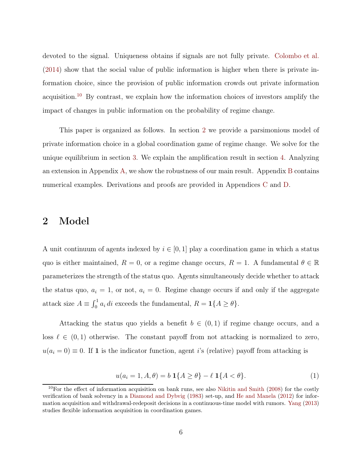devoted to the signal. Uniqueness obtains if signals are not fully private. [Colombo et al.](#page-24-8) [\(2014\)](#page-24-8) show that the social value of public information is higher when there is private information choice, since the provision of public information crowds out private information acquisition.[10](#page-9-0) By contrast, we explain how the information choices of investors amplify the impact of changes in public information on the probability of regime change.

This paper is organized as follows. In section [2](#page-9-1) we provide a parsimonious model of private information choice in a global coordination game of regime change. We solve for the unique equilibrium in section [3.](#page-12-0) We explain the amplification result in section [4.](#page-15-0) Analyzing an extension in Appendix [A,](#page-27-0) we show the robustness of our main result. Appendix [B](#page-30-0) contains numerical examples. Derivations and proofs are provided in Appendices [C](#page-33-0) and [D.](#page-42-0)

### <span id="page-9-1"></span>2 Model

A unit continuum of agents indexed by  $i \in [0, 1]$  play a coordination game in which a status quo is either maintained,  $R = 0$ , or a regime change occurs,  $R = 1$ . A fundamental  $\theta \in \mathbb{R}$ parameterizes the strength of the status quo. Agents simultaneously decide whether to attack the status quo,  $a_i = 1$ , or not,  $a_i = 0$ . Regime change occurs if and only if the aggregate attack size  $A \equiv \int_0^1 a_i \, di$  exceeds the fundamental,  $R = \mathbf{1}{A \ge \theta}$ .

Attacking the status quo yields a benefit  $b \in (0,1)$  if regime change occurs, and a loss  $\ell \in (0,1)$  otherwise. The constant payoff from not attacking is normalized to zero,  $u(a_i = 0) \equiv 0$ . If 1 is the indicator function, agent i's (relative) payoff from attacking is

$$
u(a_i = 1, A, \theta) = b \, \mathbf{1} \{ A \ge \theta \} - \ell \, \mathbf{1} \{ A < \theta \}. \tag{1}
$$

<span id="page-9-0"></span><sup>&</sup>lt;sup>10</sup>For the effect of information acquisition on bank runs, see also [Nikitin and Smith](#page-26-8) [\(2008\)](#page-26-8) for the costly verification of bank solvency in a [Diamond and Dybvig](#page-24-0) [\(1983\)](#page-24-0) set-up, and [He and Manela](#page-25-10) [\(2012\)](#page-25-10) for information acquisition and withdrawal-redeposit decisions in a continuous-time model with rumors. [Yang](#page-26-9) [\(2013](#page-26-9)) studies flexible information acquisition in coordination games.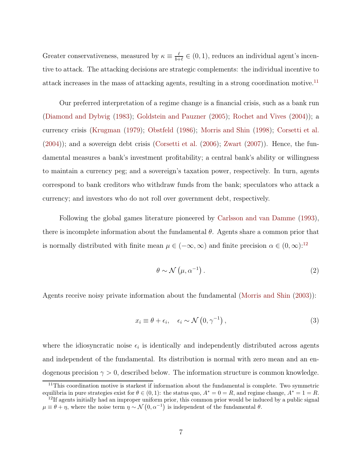Greater conservativeness, measured by  $\kappa \equiv \frac{\ell}{b+1}$  $\frac{\ell}{b+\ell} \in (0,1)$ , reduces an individual agent's incentive to attack. The attacking decisions are strategic complements: the individual incentive to attack increases in the mass of attacking agents, resulting in a strong coordination motive.<sup>[11](#page-10-0)</sup>

Our preferred interpretation of a regime change is a financial crisis, such as a bank run [\(Diamond and Dybvig](#page-24-0) [\(1983](#page-24-0)); [Goldstein and Pauzner](#page-24-3) [\(2005](#page-24-3)); [Rochet and Vives](#page-26-3) [\(2004\)](#page-26-3)); a currency crisis [\(Krugman](#page-25-3) [\(1979](#page-25-3)); [Obstfeld](#page-26-10) [\(1986\)](#page-26-10); [Morris and Shin](#page-25-4) [\(1998\)](#page-25-4); [Corsetti et al.](#page-24-2)  $(2004)$ ; and a sovereign debt crisis [\(Corsetti et al.](#page-24-4)  $(2006)$  $(2006)$ ; [Zwart](#page-26-7)  $(2007)$  $(2007)$ ). Hence, the fundamental measures a bank's investment profitability; a central bank's ability or willingness to maintain a currency peg; and a sovereign's taxation power, respectively. In turn, agents correspond to bank creditors who withdraw funds from the bank; speculators who attack a currency; and investors who do not roll over government debt, respectively.

Following the global games literature pioneered by [Carlsson and van Damme](#page-23-4) [\(1993](#page-23-4)), there is incomplete information about the fundamental  $\theta$ . Agents share a common prior that is normally distributed with finite mean  $\mu \in (-\infty, \infty)$  and finite precision  $\alpha \in (0, \infty)$ :<sup>[12](#page-10-1)</sup>

$$
\theta \sim \mathcal{N}\left(\mu, \alpha^{-1}\right). \tag{2}
$$

Agents receive noisy private information about the fundamental [\(Morris and Shin](#page-26-2) [\(2003](#page-26-2))):

$$
x_i \equiv \theta + \epsilon_i, \quad \epsilon_i \sim \mathcal{N}\left(0, \gamma^{-1}\right), \tag{3}
$$

where the idiosyncratic noise  $\epsilon_i$  is identically and independently distributed across agents and independent of the fundamental. Its distribution is normal with zero mean and an endogenous precision  $\gamma > 0$ , described below. The information structure is common knowledge.

<span id="page-10-0"></span><sup>&</sup>lt;sup>11</sup>This coordination motive is starkest if information about the fundamental is complete. Two symmetric equilibria in pure strategies exist for  $\theta \in (0,1)$ : the status quo,  $A^* = 0 = R$ , and regime change,  $A^* = 1 = R$ .

<span id="page-10-1"></span> $12$ If agents initially had an improper uniform prior, this common prior would be induced by a public signal  $\mu \equiv \theta + \eta$ , where the noise term  $\eta \sim \mathcal{N}(0, \alpha^{-1})$  is independent of the fundamental  $\theta$ .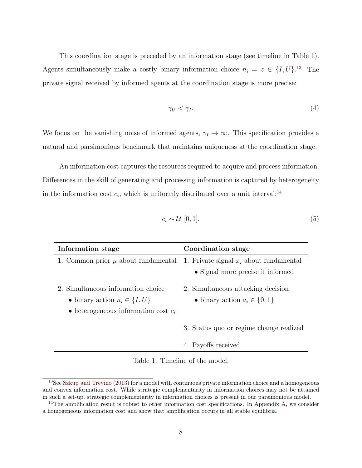This coordination stage is preceded by an information stage (see timeline in Table [1\)](#page-11-0). Agents simultaneously make a costly binary information choice  $n_i = z \in \{I, U\}$ .<sup>[13](#page-11-1)</sup> The private signal received by informed agents at the coordination stage is more precise:

$$
\gamma_U < \gamma_I. \tag{4}
$$

We focus on the vanishing noise of informed agents,  $\gamma_I \to \infty$ . This specification provides a natural and parsimonious benchmark that maintains uniqueness at the coordination stage.

An information cost captures the resources required to acquire and process information. Differences in the skill of generating and processing information is captured by heterogeneity in the information cost  $c_i$ , which is uniformly distributed over a unit interval:<sup>[14](#page-11-2)</sup>

$$
c_i \sim \mathcal{U} \ [0,1]. \tag{5}
$$

| Information stage                                                                                                                  | Coordination stage                                                                                                     |
|------------------------------------------------------------------------------------------------------------------------------------|------------------------------------------------------------------------------------------------------------------------|
|                                                                                                                                    | 1. Common prior $\mu$ about fundamental 1. Private signal $x_i$ about fundamental<br>• Signal more precise if informed |
| 2. Simultaneous information choice<br>$\bullet$ binary action $n_i \in \{I, U\}$<br>$\bullet$ heterogeneous information cost $c_i$ | 2. Simultaneous attacking decision<br>$\bullet$ binary action $a_i \in \{0, 1\}$                                       |
|                                                                                                                                    | 3. Status quo or regime change realized                                                                                |
|                                                                                                                                    | 4. Payoffs received                                                                                                    |

<span id="page-11-0"></span>Table 1: Timeline of the model.

<span id="page-11-1"></span><sup>&</sup>lt;sup>13</sup>See [Szkup and Trevino](#page-26-5) [\(2013](#page-26-5)) for a model with continuous private information choice and a homogeneous and convex information cost. While strategic complementarity in information choices may not be attained in such a set-up, strategic complementarity in information choices is present in our parsimonious model.

<span id="page-11-2"></span> $14$ The amplification result is robust to other information cost specifications. In Appendix [A,](#page-27-0) we consider a homogeneous information cost and show that amplification occurs in all stable equilibria.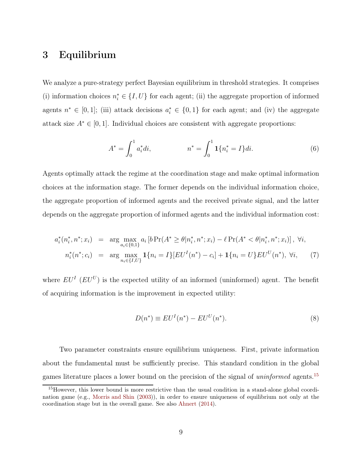# <span id="page-12-0"></span>3 Equilibrium

We analyze a pure-strategy perfect Bayesian equilibrium in threshold strategies. It comprises (i) information choices  $n_i^* \in \{I, U\}$  for each agent; (ii) the aggregate proportion of informed agents  $n^* \in [0,1]$ ; (iii) attack decisions  $a_i^* \in \{0,1\}$  for each agent; and (iv) the aggregate attack size  $A^* \in [0, 1]$ . Individual choices are consistent with aggregate proportions:

$$
A^* = \int_0^1 a_i^* di, \qquad \qquad n^* = \int_0^1 \mathbf{1} \{ n_i^* = I \} di. \tag{6}
$$

Agents optimally attack the regime at the coordination stage and make optimal information choices at the information stage. The former depends on the individual information choice, the aggregate proportion of informed agents and the received private signal, and the latter depends on the aggregate proportion of informed agents and the individual information cost:

$$
a_i^*(n_i^*, n^*; x_i) = \arg \max_{a_i \in \{0,1\}} a_i \left[ b \Pr(A^* \ge \theta | n_i^*, n^*; x_i) - \ell \Pr(A^* < \theta | n_i^*, n^*; x_i) \right], \ \forall i,
$$
\n
$$
n_i^*(n^*; c_i) = \arg \max_{n_i \in \{I, U\}} \mathbf{1}\{n_i = I\} [EU^I(n^*) - c_i] + \mathbf{1}\{n_i = U\} EU^U(n^*), \ \forall i,
$$
\n
$$
(7)
$$

where  $EU<sup>I</sup>$  ( $EU<sup>U</sup>$ ) is the expected utility of an informed (uninformed) agent. The benefit of acquiring information is the improvement in expected utility:

$$
D(n^*) \equiv EU^I(n^*) - EU^U(n^*). \tag{8}
$$

Two parameter constraints ensure equilibrium uniqueness. First, private information about the fundamental must be sufficiently precise. This standard condition in the global games literature places a lower bound on the precision of the signal of uninformed agents.[15](#page-12-1)

<span id="page-12-1"></span><sup>&</sup>lt;sup>15</sup>However, this lower bound is more restrictive than the usual condition in a stand-alone global coordination game (e.g., [Morris and Shin](#page-26-2) [\(2003\)](#page-26-2)), in order to ensure uniqueness of equilibrium not only at the coordination stage but in the overall game. See also [Ahnert](#page-23-9) [\(2014\)](#page-23-9).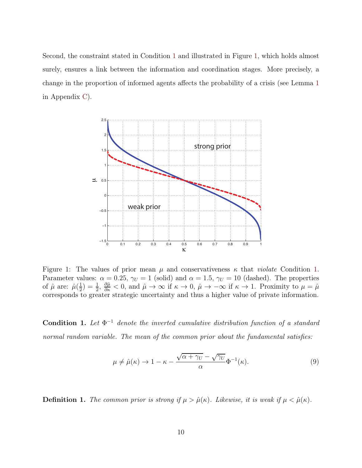Second, the constraint stated in Condition [1](#page-13-0) and illustrated in Figure [1,](#page-13-1) which holds almost surely, ensures a link between the information and coordination stages. More precisely, a change in the proportion of informed agents affects the probability of a crisis (see Lemma [1](#page-36-0) in Appendix [C\)](#page-33-0).



<span id="page-13-1"></span>Figure 1: The values of prior mean  $\mu$  and conservativeness  $\kappa$  that *violate* Condition [1.](#page-13-0) Parameter values:  $\alpha = 0.25$ ,  $\gamma_U = 1$  (solid) and  $\alpha = 1.5$ ,  $\gamma_U = 10$  (dashed). The properties of  $\hat{\mu}$  are:  $\hat{\mu}(\frac{1}{2})$  $(\frac{1}{2}) = \frac{1}{2}, \frac{\partial \hat{\mu}}{\partial \kappa} < 0$ , and  $\hat{\mu} \to \infty$  if  $\kappa \to 0$ ,  $\hat{\mu} \to -\infty$  if  $\kappa \to 1$ . Proximity to  $\mu = \hat{\mu}$ corresponds to greater strategic uncertainty and thus a higher value of private information.

<span id="page-13-0"></span>**Condition 1.** Let  $\Phi^{-1}$  denote the inverted cumulative distribution function of a standard normal random variable. The mean of the common prior about the fundamental satisfies:

$$
\mu \neq \hat{\mu}(\kappa) \to 1 - \kappa - \frac{\sqrt{\alpha + \gamma_U} - \sqrt{\gamma_U}}{\alpha} \Phi^{-1}(\kappa). \tag{9}
$$

**Definition 1.** The common prior is strong if  $\mu > \hat{\mu}(\kappa)$ . Likewise, it is weak if  $\mu < \hat{\mu}(\kappa)$ .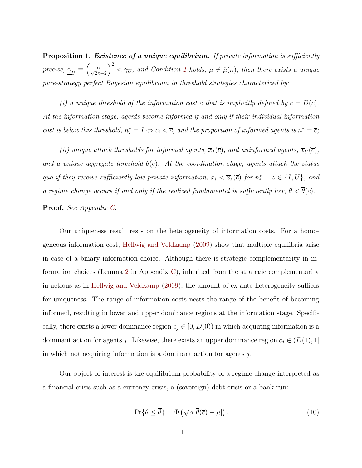<span id="page-14-0"></span>Proposition 1. Existence of a unique equilibrium. If private information is sufficiently *precise*,  $\gamma_U \equiv$  $\left(\frac{\alpha}{\sqrt{2\pi}-2}\right)$  $\int^{2}$  <  $\gamma_{U}$ , and Condition [1](#page-13-0) holds,  $\mu \neq \hat{\mu}(\kappa)$ , then there exists a unique pure-strategy perfect Bayesian equilibrium in threshold strategies characterized by:

(i) a unique threshold of the information cost  $\overline{c}$  that is implicitly defined by  $\overline{c} = D(\overline{c})$ . At the information stage, agents become informed if and only if their individual information cost is below this threshold,  $n_i^* = I \Leftrightarrow c_i < \overline{c}$ , and the proportion of informed agents is  $n^* = \overline{c}$ ;

(ii) unique attack thresholds for informed agents,  $\overline{x}_I(\overline{c})$ , and uninformed agents,  $\overline{x}_U(\overline{c})$ , and a unique aggregate threshold  $\overline{\theta}(\overline{c})$ . At the coordination stage, agents attack the status quo if they receive sufficiently low private information,  $x_i < \overline{x}_z(\overline{c})$  for  $n_i^* = z \in \{I, U\}$ , and a regime change occurs if and only if the realized fundamental is sufficiently low,  $\theta < \overline{\theta}(\overline{c})$ .

#### Proof. See Appendix [C.](#page-33-0)

Our uniqueness result rests on the heterogeneity of information costs. For a homogeneous information cost, [Hellwig and Veldkamp](#page-25-0) [\(2009\)](#page-25-0) show that multiple equilibria arise in case of a binary information choice. Although there is strategic complementarity in information choices (Lemma [2](#page-39-0) in Appendix [C\)](#page-33-0), inherited from the strategic complementarity in actions as in [Hellwig and Veldkamp](#page-25-0) [\(2009\)](#page-25-0), the amount of ex-ante heterogeneity suffices for uniqueness. The range of information costs nests the range of the benefit of becoming informed, resulting in lower and upper dominance regions at the information stage. Specifically, there exists a lower dominance region  $c_j \in [0, D(0))$  in which acquiring information is a dominant action for agents j. Likewise, there exists an upper dominance region  $c_j \in (D(1), 1]$ in which not acquiring information is a dominant action for agents j.

Our object of interest is the equilibrium probability of a regime change interpreted as a financial crisis such as a currency crisis, a (sovereign) debt crisis or a bank run:

$$
\Pr\{\theta \le \overline{\theta}\} = \Phi\left(\sqrt{\alpha}[\overline{\theta}(\overline{c}) - \mu]\right). \tag{10}
$$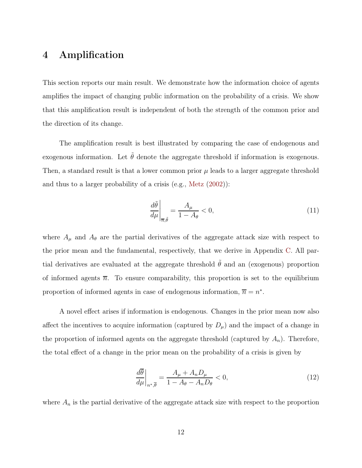# <span id="page-15-0"></span>4 Amplification

This section reports our main result. We demonstrate how the information choice of agents amplifies the impact of changing public information on the probability of a crisis. We show that this amplification result is independent of both the strength of the common prior and the direction of its change.

The amplification result is best illustrated by comparing the case of endogenous and exogenous information. Let  $\tilde{\theta}$  denote the aggregate threshold if information is exogenous. Then, a standard result is that a lower common prior  $\mu$  leads to a larger aggregate threshold and thus to a larger probability of a crisis (e.g., [Metz](#page-25-5) [\(2002\)](#page-25-5)):

$$
\left. \frac{d\tilde{\theta}}{d\mu} \right|_{\overline{n}, \tilde{\theta}} = \frac{A_{\mu}}{1 - A_{\theta}} < 0,\tag{11}
$$

where  $A_{\mu}$  and  $A_{\theta}$  are the partial derivatives of the aggregate attack size with respect to the prior mean and the fundamental, respectively, that we derive in Appendix [C.](#page-33-0) All partial derivatives are evaluated at the aggregate threshold  $\tilde{\theta}$  and an (exogenous) proportion of informed agents  $\overline{n}$ . To ensure comparability, this proportion is set to the equilibrium proportion of informed agents in case of endogenous information,  $\overline{n} = n^*$ .

A novel effect arises if information is endogenous. Changes in the prior mean now also affect the incentives to acquire information (captured by  $D_{\mu}$ ) and the impact of a change in the proportion of informed agents on the aggregate threshold (captured by  $A_n$ ). Therefore, the total effect of a change in the prior mean on the probability of a crisis is given by

<span id="page-15-1"></span>
$$
\left. \frac{d\overline{\theta}}{d\mu} \right|_{n^*,\overline{\theta}} = \frac{A_\mu + A_n D_\mu}{1 - A_\theta - A_n D_\theta} < 0,\tag{12}
$$

where  $A_n$  is the partial derivative of the aggregate attack size with respect to the proportion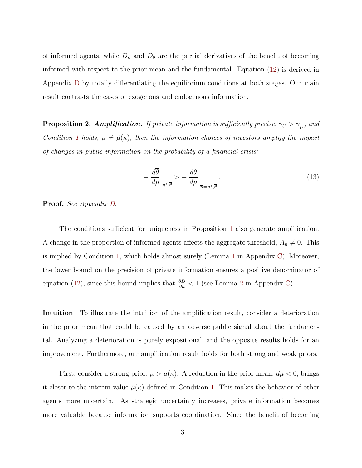of informed agents, while  $D_{\mu}$  and  $D_{\theta}$  are the partial derivatives of the benefit of becoming informed with respect to the prior mean and the fundamental. Equation [\(12\)](#page-15-1) is derived in Appendix [D](#page-42-0) by totally differentiating the equilibrium conditions at both stages. Our main result contrasts the cases of exogenous and endogenous information.

<span id="page-16-0"></span>**Proposition 2. Amplification.** If private information is sufficiently precise,  $\gamma_U > \underline{\gamma}_U$ , and Condition [1](#page-13-0) holds,  $\mu \neq \hat{\mu}(\kappa)$ , then the information choices of investors amplify the impact of changes in public information on the probability of a financial crisis:

<span id="page-16-1"></span>
$$
-\left.\frac{d\overline{\theta}}{d\mu}\right|_{n^*,\overline{\theta}} > -\left.\frac{d\widetilde{\theta}}{d\mu}\right|_{\overline{n}=n^*,\overline{\theta}}.\tag{13}
$$

Proof. See Appendix [D.](#page-42-0)

The conditions sufficient for uniqueness in Proposition [1](#page-14-0) also generate amplification. A change in the proportion of informed agents affects the aggregate threshold,  $A_n \neq 0$ . This is implied by Condition [1,](#page-13-0) which holds almost surely (Lemma [1](#page-36-0) in Appendix [C\)](#page-33-0). Moreover, the lower bound on the precision of private information ensures a positive denominator of equation [\(12\)](#page-15-1), since this bound implies that  $\frac{\partial D}{\partial n} < 1$  (see Lemma [2](#page-39-0) in Appendix [C\)](#page-33-0).

Intuition To illustrate the intuition of the amplification result, consider a deterioration in the prior mean that could be caused by an adverse public signal about the fundamental. Analyzing a deterioration is purely expositional, and the opposite results holds for an improvement. Furthermore, our amplification result holds for both strong and weak priors.

First, consider a strong prior,  $\mu > \hat{\mu}(\kappa)$ . A reduction in the prior mean,  $d\mu < 0$ , brings it closer to the interim value  $\hat{\mu}(\kappa)$  defined in Condition [1.](#page-13-0) This makes the behavior of other agents more uncertain. As strategic uncertainty increases, private information becomes more valuable because information supports coordination. Since the benefit of becoming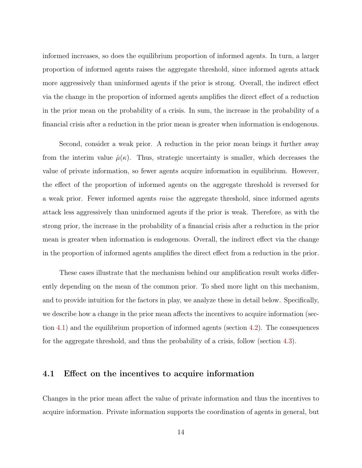informed increases, so does the equilibrium proportion of informed agents. In turn, a larger proportion of informed agents raises the aggregate threshold, since informed agents attack more aggressively than uninformed agents if the prior is strong. Overall, the indirect effect via the change in the proportion of informed agents amplifies the direct effect of a reduction in the prior mean on the probability of a crisis. In sum, the increase in the probability of a financial crisis after a reduction in the prior mean is greater when information is endogenous.

Second, consider a weak prior. A reduction in the prior mean brings it further away from the interim value  $\hat{\mu}(\kappa)$ . Thus, strategic uncertainty is smaller, which decreases the value of private information, so fewer agents acquire information in equilibrium. However, the effect of the proportion of informed agents on the aggregate threshold is reversed for a weak prior. Fewer informed agents raise the aggregate threshold, since informed agents attack less aggressively than uninformed agents if the prior is weak. Therefore, as with the strong prior, the increase in the probability of a financial crisis after a reduction in the prior mean is greater when information is endogenous. Overall, the indirect effect via the change in the proportion of informed agents amplifies the direct effect from a reduction in the prior.

These cases illustrate that the mechanism behind our amplification result works differently depending on the mean of the common prior. To shed more light on this mechanism, and to provide intuition for the factors in play, we analyze these in detail below. Specifically, we describe how a change in the prior mean affects the incentives to acquire information (section [4.1\)](#page-17-0) and the equilibrium proportion of informed agents (section [4.2\)](#page-18-0). The consequences for the aggregate threshold, and thus the probability of a crisis, follow (section [4.3\)](#page-20-0).

#### <span id="page-17-0"></span>4.1 Effect on the incentives to acquire information

Changes in the prior mean affect the value of private information and thus the incentives to acquire information. Private information supports the coordination of agents in general, but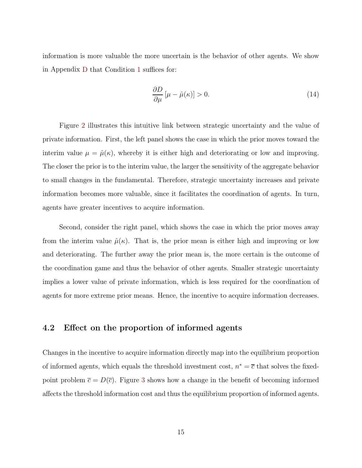information is more valuable the more uncertain is the behavior of other agents. We show in Appendix [D](#page-42-0) that Condition [1](#page-13-0) suffices for:

$$
\frac{\partial D}{\partial \mu} \left[ \mu - \hat{\mu}(\kappa) \right] > 0. \tag{14}
$$

Figure [2](#page-19-0) illustrates this intuitive link between strategic uncertainty and the value of private information. First, the left panel shows the case in which the prior moves toward the interim value  $\mu = \hat{\mu}(\kappa)$ , whereby it is either high and deteriorating or low and improving. The closer the prior is to the interim value, the larger the sensitivity of the aggregate behavior to small changes in the fundamental. Therefore, strategic uncertainty increases and private information becomes more valuable, since it facilitates the coordination of agents. In turn, agents have greater incentives to acquire information.

Second, consider the right panel, which shows the case in which the prior moves away from the interim value  $\hat{\mu}(\kappa)$ . That is, the prior mean is either high and improving or low and deteriorating. The further away the prior mean is, the more certain is the outcome of the coordination game and thus the behavior of other agents. Smaller strategic uncertainty implies a lower value of private information, which is less required for the coordination of agents for more extreme prior means. Hence, the incentive to acquire information decreases.

#### <span id="page-18-0"></span>4.2 Effect on the proportion of informed agents

Changes in the incentive to acquire information directly map into the equilibrium proportion of informed agents, which equals the threshold investment cost,  $n^* = \overline{c}$  that solves the fixedpoint problem  $\bar{c} = D(\bar{c})$ . Figure [3](#page-19-1) shows how a change in the benefit of becoming informed affects the threshold information cost and thus the equilibrium proportion of informed agents.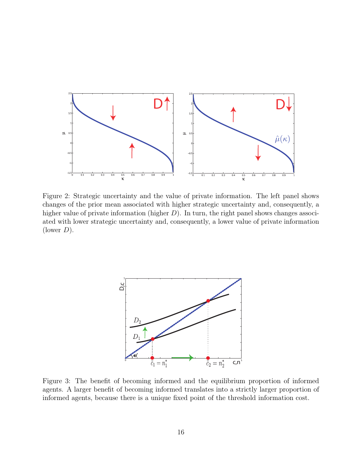

<span id="page-19-0"></span>Figure 2: Strategic uncertainty and the value of private information. The left panel shows changes of the prior mean associated with higher strategic uncertainty and, consequently, a higher value of private information (higher  $D$ ). In turn, the right panel shows changes associated with lower strategic uncertainty and, consequently, a lower value of private information (lower  $D$ ).



<span id="page-19-1"></span>Figure 3: The benefit of becoming informed and the equilibrium proportion of informed agents. A larger benefit of becoming informed translates into a strictly larger proportion of informed agents, because there is a unique fixed point of the threshold information cost.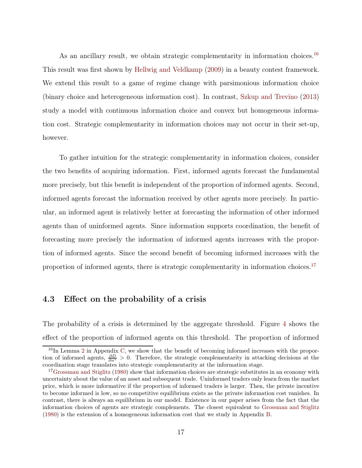As an ancillary result, we obtain strategic complementarity in information choices.<sup>[16](#page-20-1)</sup> This result was first shown by [Hellwig and Veldkamp](#page-25-0) [\(2009](#page-25-0)) in a beauty contest framework. We extend this result to a game of regime change with parsimonious information choice (binary choice and heterogeneous information cost). In contrast, [Szkup and Trevino](#page-26-5) [\(2013\)](#page-26-5) study a model with continuous information choice and convex but homogeneous information cost. Strategic complementarity in information choices may not occur in their set-up, however.

To gather intuition for the strategic complementarity in information choices, consider the two benefits of acquiring information. First, informed agents forecast the fundamental more precisely, but this benefit is independent of the proportion of informed agents. Second, informed agents forecast the information received by other agents more precisely. In particular, an informed agent is relatively better at forecasting the information of other informed agents than of uninformed agents. Since information supports coordination, the benefit of forecasting more precisely the information of informed agents increases with the proportion of informed agents. Since the second benefit of becoming informed increases with the proportion of informed agents, there is strategic complementarity in information choices.<sup>[17](#page-20-2)</sup>

#### <span id="page-20-0"></span>4.3 Effect on the probability of a crisis

The probability of a crisis is determined by the aggregate threshold. Figure [4](#page-21-0) shows the effect of the proportion of informed agents on this threshold. The proportion of informed

<span id="page-20-1"></span> $16$ In Lemma [2](#page-39-0) in Appendix [C,](#page-33-0) we show that the benefit of becoming informed increases with the proportion of informed agents,  $\frac{\partial D}{\partial n^*} > 0$ . Therefore, the strategic complementarity in attacking decisions at the coordination stage translates into strategic complementarity at the information stage.

<span id="page-20-2"></span><sup>&</sup>lt;sup>17</sup>[Grossman and Stiglitz](#page-25-7) [\(1980\)](#page-25-7) show that information choices are strategic substitutes in an economy with uncertainty about the value of an asset and subsequent trade. Uninformed traders only learn from the market price, which is more informative if the proportion of informed traders is larger. Then, the private incentive to become informed is low, so no competitive equilibrium exists as the private information cost vanishes. In contrast, there is always an equilibrium in our model. Existence in our paper arises from the fact that the information choices of agents are strategic complements. The closest equivalent to [Grossman and Stiglitz](#page-25-7) [\(1980\)](#page-25-7) is the extension of a homogeneous information cost that we study in Appendix [B.](#page-30-0)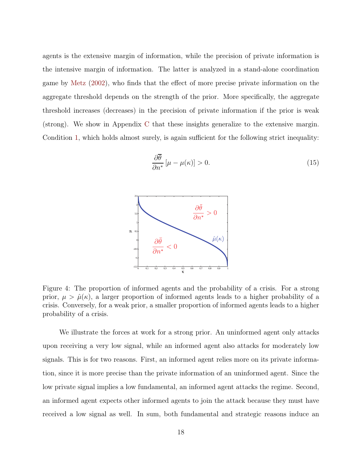agents is the extensive margin of information, while the precision of private information is the intensive margin of information. The latter is analyzed in a stand-alone coordination game by [Metz](#page-25-5) [\(2002\)](#page-25-5), who finds that the effect of more precise private information on the aggregate threshold depends on the strength of the prior. More specifically, the aggregate threshold increases (decreases) in the precision of private information if the prior is weak (strong). We show in Appendix [C](#page-33-0) that these insights generalize to the extensive margin. Condition [1,](#page-13-0) which holds almost surely, is again sufficient for the following strict inequality:

$$
\frac{\partial \overline{\theta}}{\partial n^*} \left[ \mu - \mu(\kappa) \right] > 0. \tag{15}
$$



<span id="page-21-0"></span>Figure 4: The proportion of informed agents and the probability of a crisis. For a strong prior,  $\mu > \hat{\mu}(\kappa)$ , a larger proportion of informed agents leads to a higher probability of a crisis. Conversely, for a weak prior, a smaller proportion of informed agents leads to a higher probability of a crisis.

We illustrate the forces at work for a strong prior. An uninformed agent only attacks upon receiving a very low signal, while an informed agent also attacks for moderately low signals. This is for two reasons. First, an informed agent relies more on its private information, since it is more precise than the private information of an uninformed agent. Since the low private signal implies a low fundamental, an informed agent attacks the regime. Second, an informed agent expects other informed agents to join the attack because they must have received a low signal as well. In sum, both fundamental and strategic reasons induce an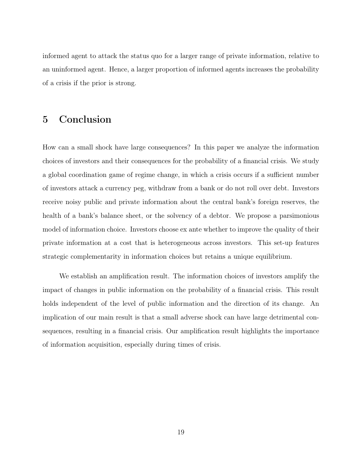informed agent to attack the status quo for a larger range of private information, relative to an uninformed agent. Hence, a larger proportion of informed agents increases the probability of a crisis if the prior is strong.

# 5 Conclusion

How can a small shock have large consequences? In this paper we analyze the information choices of investors and their consequences for the probability of a financial crisis. We study a global coordination game of regime change, in which a crisis occurs if a sufficient number of investors attack a currency peg, withdraw from a bank or do not roll over debt. Investors receive noisy public and private information about the central bank's foreign reserves, the health of a bank's balance sheet, or the solvency of a debtor. We propose a parsimonious model of information choice. Investors choose ex ante whether to improve the quality of their private information at a cost that is heterogeneous across investors. This set-up features strategic complementarity in information choices but retains a unique equilibrium.

We establish an amplification result. The information choices of investors amplify the impact of changes in public information on the probability of a financial crisis. This result holds independent of the level of public information and the direction of its change. An implication of our main result is that a small adverse shock can have large detrimental consequences, resulting in a financial crisis. Our amplification result highlights the importance of information acquisition, especially during times of crisis.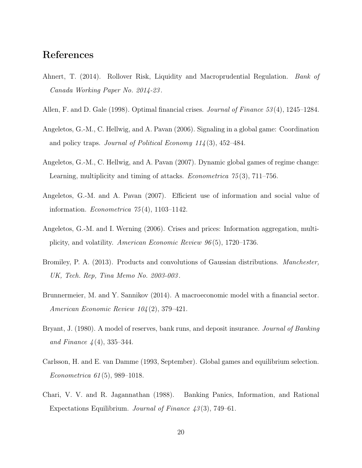# References

- <span id="page-23-9"></span>Ahnert, T. (2014). Rollover Risk, Liquidity and Macroprudential Regulation. Bank of Canada Working Paper No. 2014-23 .
- <span id="page-23-3"></span>Allen, F. and D. Gale (1998). Optimal financial crises. *Journal of Finance* 53(4), 1245–1284.
- <span id="page-23-7"></span>Angeletos, G.-M., C. Hellwig, and A. Pavan (2006). Signaling in a global game: Coordination and policy traps. *Journal of Political Economy*  $114(3)$ ,  $452-484$ .
- <span id="page-23-5"></span>Angeletos, G.-M., C. Hellwig, and A. Pavan (2007). Dynamic global games of regime change: Learning, multiplicity and timing of attacks. *Econometrica* 75(3), 711–756.
- <span id="page-23-8"></span>Angeletos, G.-M. and A. Pavan (2007). Efficient use of information and social value of information. *Econometrica*  $75(4)$ , 1103–1142.
- <span id="page-23-6"></span>Angeletos, G.-M. and I. Werning (2006). Crises and prices: Information aggregation, multiplicity, and volatility. American Economic Review 96 (5), 1720–1736.
- <span id="page-23-10"></span>Bromiley, P. A. (2013). Products and convolutions of Gaussian distributions. Manchester, UK, Tech. Rep, Tina Memo No. 2003-003 .
- <span id="page-23-0"></span>Brunnermeier, M. and Y. Sannikov (2014). A macroeconomic model with a financial sector. American Economic Review 104 (2), 379–421.
- <span id="page-23-1"></span>Bryant, J. (1980). A model of reserves, bank runs, and deposit insurance. *Journal of Banking* and Finance  $4(4)$ , 335–344.
- <span id="page-23-4"></span>Carlsson, H. and E. van Damme (1993, September). Global games and equilibrium selection. Econometrica 61 (5), 989–1018.
- <span id="page-23-2"></span>Chari, V. V. and R. Jagannathan (1988). Banking Panics, Information, and Rational Expectations Equilibrium. Journal of Finance  $43(3)$ , 749–61.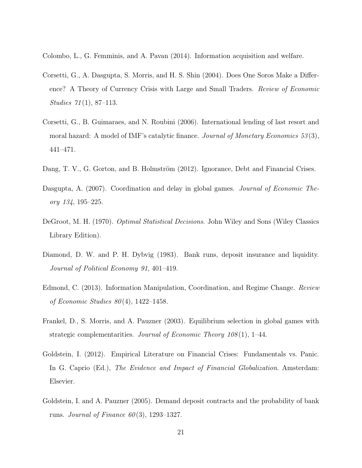<span id="page-24-8"></span>Colombo, L., G. Femminis, and A. Pavan (2014). Information acquisition and welfare.

- <span id="page-24-2"></span>Corsetti, G., A. Dasgupta, S. Morris, and H. S. Shin (2004). Does One Soros Make a Difference? A Theory of Currency Crisis with Large and Small Traders. Review of Economic Studies 71 (1), 87–113.
- <span id="page-24-4"></span>Corsetti, G., B. Guimaraes, and N. Roubini (2006). International lending of last resort and moral hazard: A model of IMF's catalytic finance. Journal of Monetary Economics 53(3), 441–471.
- <span id="page-24-7"></span>Dang, T. V., G. Gorton, and B. Holmström (2012). Ignorance, Debt and Financial Crises.
- <span id="page-24-5"></span>Dasgupta, A. (2007). Coordination and delay in global games. *Journal of Economic The*ory 134, 195–225.
- <span id="page-24-10"></span>DeGroot, M. H. (1970). Optimal Statistical Decisions. John Wiley and Sons (Wiley Classics Library Edition).
- <span id="page-24-0"></span>Diamond, D. W. and P. H. Dybvig (1983). Bank runs, deposit insurance and liquidity. Journal of Political Economy 91, 401–419.
- <span id="page-24-6"></span>Edmond, C. (2013). Information Manipulation, Coordination, and Regime Change. Review of Economic Studies  $80(4)$ , 1422–1458.
- <span id="page-24-9"></span>Frankel, D., S. Morris, and A. Pauzner (2003). Equilibrium selection in global games with strategic complementarities. Journal of Economic Theory  $108(1)$ , 1–44.
- <span id="page-24-1"></span>Goldstein, I. (2012). Empirical Literature on Financial Crises: Fundamentals vs. Panic. In G. Caprio (Ed.), The Evidence and Impact of Financial Globalization. Amsterdam: Elsevier.
- <span id="page-24-3"></span>Goldstein, I. and A. Pauzner (2005). Demand deposit contracts and the probability of bank runs. Journal of Finance  $60(3)$ , 1293–1327.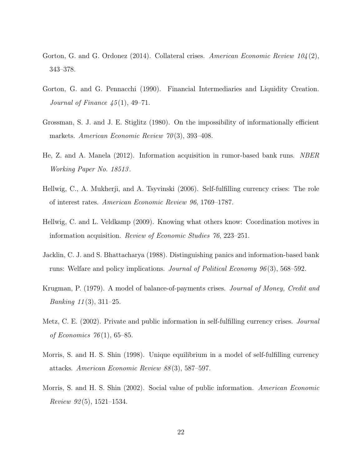- <span id="page-25-1"></span>Gorton, G. and G. Ordonez (2014). Collateral crises. American Economic Review 104(2), 343–378.
- <span id="page-25-6"></span>Gorton, G. and G. Pennacchi (1990). Financial Intermediaries and Liquidity Creation. Journal of Finance  $\frac{45(1)}{1}$ , 49–71.
- <span id="page-25-7"></span>Grossman, S. J. and J. E. Stiglitz (1980). On the impossibility of informationally efficient markets. American Economic Review  $70(3)$ , 393-408.
- <span id="page-25-10"></span>He, Z. and A. Manela (2012). Information acquisition in rumor-based bank runs. NBER Working Paper No. 18513 .
- <span id="page-25-8"></span>Hellwig, C., A. Mukherji, and A. Tsyvinski (2006). Self-fulfilling currency crises: The role of interest rates. American Economic Review 96, 1769–1787.
- <span id="page-25-0"></span>Hellwig, C. and L. Veldkamp (2009). Knowing what others know: Coordination motives in information acquisition. Review of Economic Studies 76, 223–251.
- <span id="page-25-2"></span>Jacklin, C. J. and S. Bhattacharya (1988). Distinguishing panics and information-based bank runs: Welfare and policy implications. Journal of Political Economy 96 (3), 568–592.
- <span id="page-25-3"></span>Krugman, P. (1979). A model of balance-of-payments crises. *Journal of Money, Credit and Banking*  $11(3)$ ,  $311-25$ .
- <span id="page-25-5"></span>Metz, C. E. (2002). Private and public information in self-fulfilling currency crises. *Journal* of Economics  $76(1)$ , 65–85.
- <span id="page-25-4"></span>Morris, S. and H. S. Shin (1998). Unique equilibrium in a model of self-fulfilling currency attacks. American Economic Review 88 (3), 587–597.
- <span id="page-25-9"></span>Morris, S. and H. S. Shin (2002). Social value of public information. American Economic Review  $92(5)$ , 1521–1534.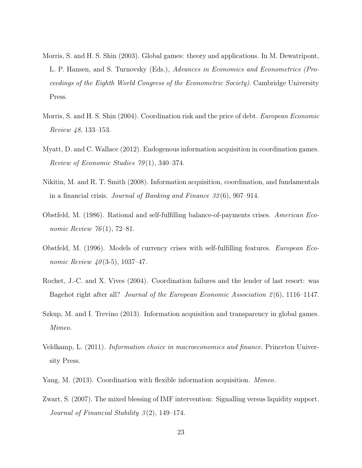- <span id="page-26-2"></span>Morris, S. and H. S. Shin (2003). Global games: theory and applications. In M. Dewatripont, L. P. Hansen, and S. Turnovsky (Eds.), Advances in Economics and Econometrics (Proceedings of the Eighth World Congress of the Econometric Society). Cambridge University Press.
- <span id="page-26-4"></span>Morris, S. and H. S. Shin (2004). Coordination risk and the price of debt. European Economic Review 48, 133–153.
- <span id="page-26-6"></span>Myatt, D. and C. Wallace (2012). Endogenous information acquisition in coordination games. Review of Economic Studies 79 (1), 340–374.
- <span id="page-26-8"></span>Nikitin, M. and R. T. Smith (2008). Information acquisition, coordination, and fundamentals in a financial crisis. Journal of Banking and Finance  $32(6)$ , 907–914.
- <span id="page-26-10"></span>Obstfeld, M. (1986). Rational and self-fulfilling balance-of-payments crises. American Economic Review 76(1), 72–81.
- <span id="page-26-1"></span>Obstfeld, M. (1996). Models of currency crises with self-fulfilling features. European Economic Review  $40(3-5)$ , 1037–47.
- <span id="page-26-3"></span>Rochet, J.-C. and X. Vives (2004). Coordination failures and the lender of last resort: was Bagehot right after all? Journal of the European Economic Association 2(6), 1116–1147.
- <span id="page-26-5"></span>Szkup, M. and I. Trevino (2013). Information acquisition and transparency in global games. Mimeo.
- <span id="page-26-0"></span>Veldkamp, L. (2011). Information choice in macroeconomics and finance. Princeton University Press.
- <span id="page-26-9"></span>Yang, M. (2013). Coordination with flexible information acquisition. Mimeo.
- <span id="page-26-7"></span>Zwart, S. (2007). The mixed blessing of IMF intervention: Signalling versus liquidity support. Journal of Financial Stability 3(2), 149–174.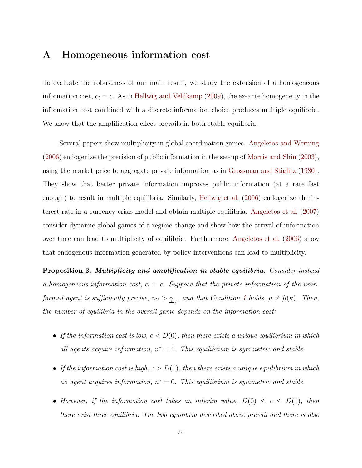# <span id="page-27-0"></span>A Homogeneous information cost

To evaluate the robustness of our main result, we study the extension of a homogeneous information cost,  $c_i = c$ . As in [Hellwig and Veldkamp](#page-25-0) [\(2009\)](#page-25-0), the ex-ante homogeneity in the information cost combined with a discrete information choice produces multiple equilibria. We show that the amplification effect prevails in both stable equilibria.

Several papers show multiplicity in global coordination games. [Angeletos and Werning](#page-23-6) [\(2006\)](#page-23-6) endogenize the precision of public information in the set-up of [Morris and Shin](#page-26-2) [\(2003](#page-26-2)), using the market price to aggregate private information as in [Grossman and Stiglitz](#page-25-7) [\(1980](#page-25-7)). They show that better private information improves public information (at a rate fast enough) to result in multiple equilibria. Similarly, [Hellwig et al.](#page-25-8) [\(2006\)](#page-25-8) endogenize the interest rate in a currency crisis model and obtain multiple equilibria. [Angeletos et al.](#page-23-5) [\(2007\)](#page-23-5) consider dynamic global games of a regime change and show how the arrival of information over time can lead to multiplicity of equilibria. Furthermore, [Angeletos et al.](#page-23-7) [\(2006\)](#page-23-7) show that endogenous information generated by policy interventions can lead to multiplicity.

Proposition 3. Multiplicity and amplification in stable equilibria. Consider instead a homogeneous information cost,  $c_i = c$ . Suppose that the private information of the uninformed agent is sufficiently precise,  $\gamma_U > \underline{\gamma}_U$ , and that Condition [1](#page-13-0) holds,  $\mu \neq \hat{\mu}(\kappa)$ . Then, the number of equilibria in the overall game depends on the information cost:

- If the information cost is low,  $c < D(0)$ , then there exists a unique equilibrium in which all agents acquire information,  $n^* = 1$ . This equilibrium is symmetric and stable.
- If the information cost is high,  $c > D(1)$ , then there exists a unique equilibrium in which no agent acquires information,  $n^* = 0$ . This equilibrium is symmetric and stable.
- However, if the information cost takes an interim value,  $D(0) \leq c \leq D(1)$ , then there exist three equilibria. The two equilibria described above prevail and there is also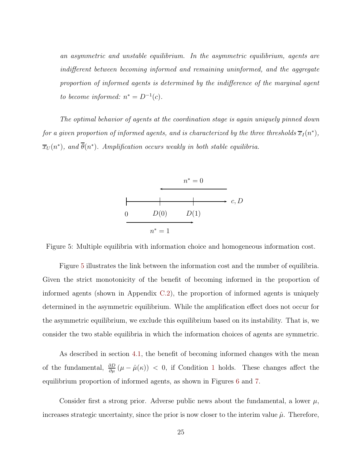an asymmetric and unstable equilibrium. In the asymmetric equilibrium, agents are indifferent between becoming informed and remaining uninformed, and the aggregate proportion of informed agents is determined by the indifference of the marginal agent to become informed:  $n^* = D^{-1}(c)$ .

The optimal behavior of agents at the coordination stage is again uniquely pinned down for a given proportion of informed agents, and is characterized by the three thresholds  $\overline{x}_I(n^*),$  $\overline{x}_U(n^*)$ , and  $\theta(n^*)$ . Amplification occurs weakly in both stable equilibria.



<span id="page-28-0"></span>Figure 5: Multiple equilibria with information choice and homogeneous information cost.

Figure [5](#page-28-0) illustrates the link between the information cost and the number of equilibria. Given the strict monotonicity of the benefit of becoming informed in the proportion of informed agents (shown in Appendix [C.2\)](#page-38-0), the proportion of informed agents is uniquely determined in the asymmetric equilibrium. While the amplification effect does not occur for the asymmetric equilibrium, we exclude this equilibrium based on its instability. That is, we consider the two stable equilibria in which the information choices of agents are symmetric.

As described in section [4.1,](#page-17-0) the benefit of becoming informed changes with the mean of the fundamental,  $\frac{\partial D}{\partial \mu}(\mu - \hat{\mu}(\kappa)) < 0$ , if Condition [1](#page-13-0) holds. These changes affect the equilibrium proportion of informed agents, as shown in Figures [6](#page-29-0) and [7.](#page-29-1)

Consider first a strong prior. Adverse public news about the fundamental, a lower  $\mu$ , increases strategic uncertainty, since the prior is now closer to the interim value  $\hat{\mu}$ . Therefore,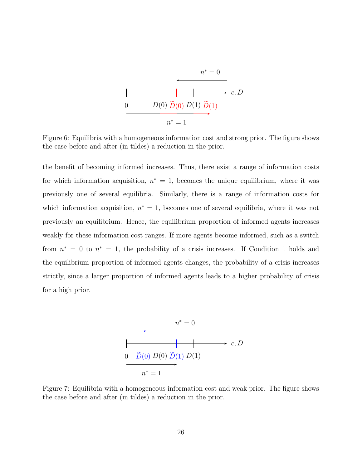

<span id="page-29-0"></span>Figure 6: Equilibria with a homogeneous information cost and strong prior. The figure shows the case before and after (in tildes) a reduction in the prior.

the benefit of becoming informed increases. Thus, there exist a range of information costs for which information acquisition,  $n^* = 1$ , becomes the unique equilibrium, where it was previously one of several equilibria. Similarly, there is a range of information costs for which information acquisition,  $n^* = 1$ , becomes one of several equilibria, where it was not previously an equilibrium. Hence, the equilibrium proportion of informed agents increases weakly for these information cost ranges. If more agents become informed, such as a switch from  $n^* = 0$  to  $n^* = 1$  $n^* = 1$ , the probability of a crisis increases. If Condition 1 holds and the equilibrium proportion of informed agents changes, the probability of a crisis increases strictly, since a larger proportion of informed agents leads to a higher probability of crisis for a high prior.



<span id="page-29-1"></span>Figure 7: Equilibria with a homogeneous information cost and weak prior. The figure shows the case before and after (in tildes) a reduction in the prior.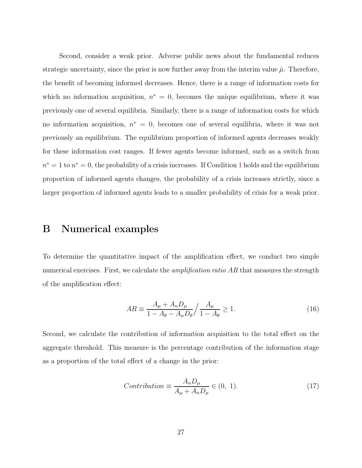Second, consider a weak prior. Adverse public news about the fundamental reduces strategic uncertainty, since the prior is now further away from the interim value  $\hat{\mu}$ . Therefore, the benefit of becoming informed decreases. Hence, there is a range of information costs for which no information acquisition,  $n^* = 0$ , becomes the unique equilibrium, where it was previously one of several equilibria. Similarly, there is a range of information costs for which no information acquisition,  $n^* = 0$ , becomes one of several equilibria, where it was not previously an equilibrium. The equilibrium proportion of informed agents decreases weakly for these information cost ranges. If fewer agents become informed, such as a switch from  $n^* = 1$  $n^* = 1$  to  $n^* = 0$ , the probability of a crisis increases. If Condition 1 holds and the equilibrium proportion of informed agents changes, the probability of a crisis increases strictly, since a larger proportion of informed agents leads to a smaller probability of crisis for a weak prior.

# <span id="page-30-0"></span>B Numerical examples

To determine the quantitative impact of the amplification effect, we conduct two simple numerical exercises. First, we calculate the *amplification ratio AR* that measures the strength of the amplification effect:

$$
AR \equiv \frac{A_{\mu} + A_n D_{\mu}}{1 - A_{\theta} - A_n D_{\theta}} / \frac{A_{\mu}}{1 - A_{\theta}} \ge 1.
$$
\n(16)

Second, we calculate the contribution of information acquisition to the total effect on the aggregate threshold. This measure is the percentage contribution of the information stage as a proportion of the total effect of a change in the prior:

$$
Contribution \equiv \frac{A_n D_\mu}{A_\mu + A_n D_\mu} \in (0, 1). \tag{17}
$$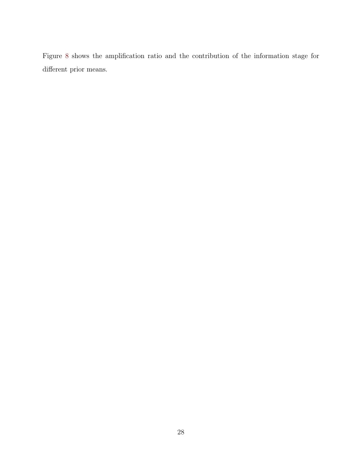Figure [8](#page-32-0) shows the amplification ratio and the contribution of the information stage for different prior means.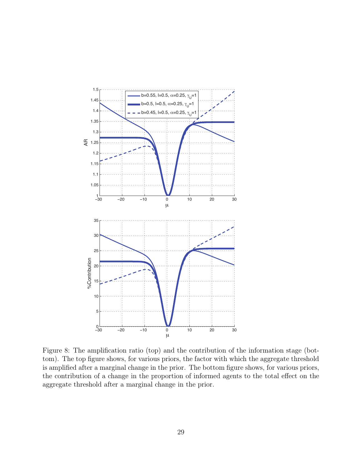

<span id="page-32-0"></span>Figure 8: The amplification ratio (top) and the contribution of the information stage (bottom). The top figure shows, for various priors, the factor with which the aggregate threshold is amplified after a marginal change in the prior. The bottom figure shows, for various priors, the contribution of a change in the proportion of informed agents to the total effect on the aggregate threshold after a marginal change in the prior.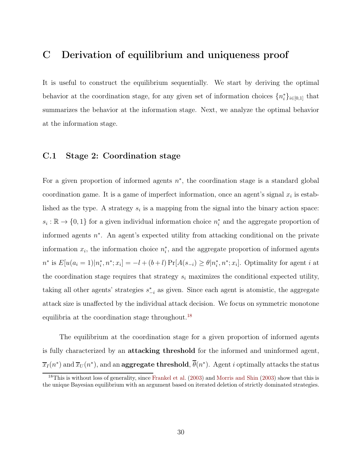## <span id="page-33-0"></span>C Derivation of equilibrium and uniqueness proof

It is useful to construct the equilibrium sequentially. We start by deriving the optimal behavior at the coordination stage, for any given set of information choices  $\{n_i^*\}_{i\in[0,1]}$  that summarizes the behavior at the information stage. Next, we analyze the optimal behavior at the information stage.

#### <span id="page-33-2"></span>C.1 Stage 2: Coordination stage

For a given proportion of informed agents  $n^*$ , the coordination stage is a standard global coordination game. It is a game of imperfect information, once an agent's signal  $x_i$  is established as the type. A strategy  $s_i$  is a mapping from the signal into the binary action space:  $s_i$ : ℝ → {0,1} for a given individual information choice  $n_i^*$  and the aggregate proportion of informed agents n ∗ . An agent's expected utility from attacking conditional on the private information  $x_i$ , the information choice  $n_i^*$ , and the aggregate proportion of informed agents  $n^*$  is  $E[u(a_i = 1)|n_i^*, n^*; x_i] = -l + (b+l) \Pr[A(s_{-i}) \ge \theta | n_i^*, n^*; x_i]$ . Optimality for agent i at the coordination stage requires that strategy  $s_i$  maximizes the conditional expected utility, taking all other agents' strategies  $s_{-i}^*$  as given. Since each agent is atomistic, the aggregate attack size is unaffected by the individual attack decision. We focus on symmetric monotone equilibria at the coordination stage throughout.<sup>[18](#page-33-1)</sup>

The equilibrium at the coordination stage for a given proportion of informed agents is fully characterized by an attacking threshold for the informed and uninformed agent,  $\overline{x}_I(n^*)$  and  $\overline{x}_U(n^*)$ , and an  $\textbf{aggregate threshold}, \theta(n^*)$ . Agent  $i$  optimally attacks the status

<span id="page-33-1"></span> $^{18}$ This is without loss of generality, since [Frankel et al.](#page-24-9) [\(2003\)](#page-26-2) and [Morris and Shin](#page-26-2) (2003) show that this is the unique Bayesian equilibrium with an argument based on iterated deletion of strictly dominated strategies.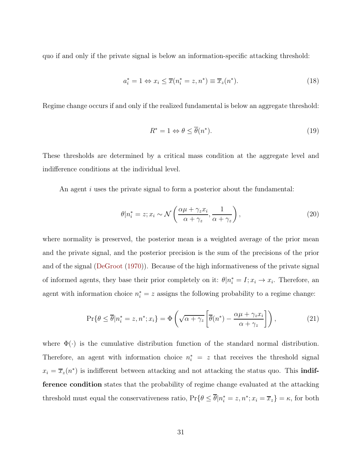quo if and only if the private signal is below an information-specific attacking threshold:

$$
a_i^* = 1 \Leftrightarrow x_i \le \overline{x}(n_i^* = z, n^*) \equiv \overline{x}_z(n^*). \tag{18}
$$

Regime change occurs if and only if the realized fundamental is below an aggregate threshold:

$$
R^* = 1 \Leftrightarrow \theta \le \overline{\theta}(n^*). \tag{19}
$$

These thresholds are determined by a critical mass condition at the aggregate level and indifference conditions at the individual level.

An agent  $i$  uses the private signal to form a posterior about the fundamental:

$$
\theta | n_i^* = z; x_i \sim \mathcal{N}\left(\frac{\alpha \mu + \gamma_z x_i}{\alpha + \gamma_z}, \frac{1}{\alpha + \gamma_z}\right),\tag{20}
$$

where normality is preserved, the posterior mean is a weighted average of the prior mean and the private signal, and the posterior precision is the sum of the precisions of the prior and of the signal [\(DeGroot](#page-24-10) [\(1970\)](#page-24-10)). Because of the high informativeness of the private signal of informed agents, they base their prior completely on it:  $\theta | n_i^* = I; x_i \to x_i$ . Therefore, an agent with information choice  $n_i^* = z$  assigns the following probability to a regime change:

$$
\Pr\{\theta \le \overline{\theta}|n_i^* = z, n^*; x_i\} = \Phi\left(\sqrt{\alpha + \gamma_z} \left[\overline{\theta}(n^*) - \frac{\alpha \mu + \gamma_z x_i}{\alpha + \gamma_z}\right]\right),\tag{21}
$$

where  $\Phi(\cdot)$  is the cumulative distribution function of the standard normal distribution. Therefore, an agent with information choice  $n_i^* = z$  that receives the threshold signal  $x_i = \overline{x}_z(n^*)$  is indifferent between attacking and not attacking the status quo. This **indif**ference condition states that the probability of regime change evaluated at the attacking threshold must equal the conservativeness ratio,  $Pr\{\theta \le \theta | n_i^* = z, n^*; x_i = \overline{x}_z\} = \kappa$ , for both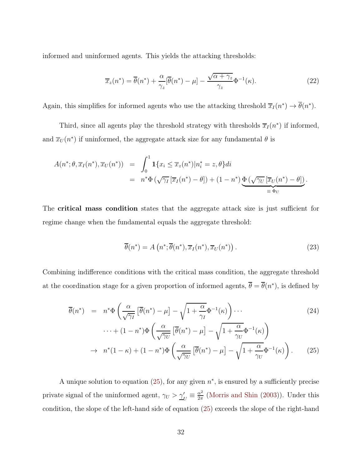informed and uninformed agents. This yields the attacking thresholds:

<span id="page-35-1"></span>
$$
\overline{x}_z(n^*) = \overline{\theta}(n^*) + \frac{\alpha}{\gamma_z} [\overline{\theta}(n^*) - \mu] - \frac{\sqrt{\alpha + \gamma_z}}{\gamma_z} \Phi^{-1}(\kappa).
$$
 (22)

Again, this simplifies for informed agents who use the attacking threshold  $\overline{x}_I(n^*) \to \theta(n^*)$ .

Third, since all agents play the threshold strategy with thresholds  $\overline{x}_I(n^*)$  if informed, and  $\overline{x}_U(n^*)$  if uninformed, the aggregate attack size for any fundamental  $\theta$  is

$$
A(n^*; \theta, \overline{x}_I(n^*), \overline{x}_U(n^*)) = \int_0^1 \mathbf{1}\{x_i \leq \overline{x}_z(n^*) | n_i^* = z, \theta\} di
$$
  
=  $n^* \Phi\left(\sqrt{\gamma_I} \left[\overline{x}_I(n^*) - \theta\right]\right) + (1 - n^*) \underbrace{\Phi\left(\sqrt{\gamma_U} \left[\overline{x}_U(n^*) - \theta\right]\right)}_{\equiv \Phi_U}.$ 

The critical mass condition states that the aggregate attack size is just sufficient for regime change when the fundamental equals the aggregate threshold:

$$
\overline{\theta}(n^*) = A\left(n^*; \overline{\theta}(n^*), \overline{x}_I(n^*), \overline{x}_U(n^*)\right). \tag{23}
$$

Combining indifference conditions with the critical mass condition, the aggregate threshold at the coordination stage for a given proportion of informed agents,  $\theta = \theta(n^*)$ , is defined by

<span id="page-35-0"></span>
$$
\overline{\theta}(n^*) = n^* \Phi \left( \frac{\alpha}{\sqrt{\gamma_I}} \left[ \overline{\theta}(n^*) - \mu \right] - \sqrt{1 + \frac{\alpha}{\gamma_I}} \Phi^{-1}(\kappa) \right) \cdots
$$
\n(24)

$$
\cdots + (1 - n^*)\Phi\left(\frac{\alpha}{\sqrt{\gamma_U}}\left[\overline{\theta}(n^*) - \mu\right] - \sqrt{1 + \frac{\alpha}{\gamma_U}}\Phi^{-1}(\kappa)\right) \n\to n^*(1 - \kappa) + (1 - n^*)\Phi\left(\frac{\alpha}{\sqrt{\gamma_U}}\left[\overline{\theta}(n^*) - \mu\right] - \sqrt{1 + \frac{\alpha}{\gamma_U}}\Phi^{-1}(\kappa)\right).
$$
(25)

A unique solution to equation  $(25)$ , for any given  $n^*$ , is ensured by a sufficiently precise private signal of the uninformed agent,  $\gamma_U > \gamma_U' \equiv \frac{\alpha^2}{2\pi}$  $\frac{\alpha^2}{2\pi}$  [\(Morris and Shin](#page-26-2) [\(2003](#page-26-2))). Under this condition, the slope of the left-hand side of equation [\(25\)](#page-35-0) exceeds the slope of the right-hand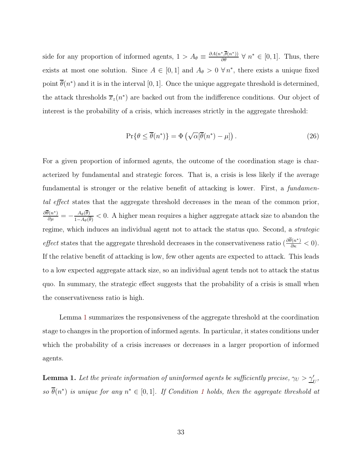side for any proportion of informed agents,  $1 > A_{\theta} \equiv \frac{\partial A(n^*, \overline{\theta}(n^*))}{\partial \theta} \ \forall \ n^* \in [0, 1]$ . Thus, there exists at most one solution. Since  $A \in [0,1]$  and  $A_{\theta} > 0 \forall n^*$ , there exists a unique fixed point  $\theta(n^*)$  and it is in the interval [0, 1]. Once the unique aggregate threshold is determined, the attack thresholds  $\overline{x}_z(n^*)$  are backed out from the indifference conditions. Our object of interest is the probability of a crisis, which increases strictly in the aggregate threshold:

$$
\Pr\{\theta \le \overline{\theta}(n^*)\} = \Phi\left(\sqrt{\alpha}[\overline{\theta}(n^*) - \mu]\right). \tag{26}
$$

For a given proportion of informed agents, the outcome of the coordination stage is characterized by fundamental and strategic forces. That is, a crisis is less likely if the average fundamental is stronger or the relative benefit of attacking is lower. First, a *fundamen*tal effect states that the aggregate threshold decreases in the mean of the common prior,  $\frac{\partial \overline{\theta}(n^*)}{\partial \mu} = -\frac{A_\theta(\overline{\theta})}{1-A_\theta(\overline{\theta})}$  $\frac{A_{\theta}(\theta)}{1-A_{\theta}(\theta)}$  < 0. A higher mean requires a higher aggregate attack size to abandon the regime, which induces an individual agent not to attack the status quo. Second, a strategic effect states that the aggregate threshold decreases in the conservativeness ratio  $\left(\frac{\partial \overline{\theta}(n^*)}{\partial \kappa} < 0\right)$ . If the relative benefit of attacking is low, few other agents are expected to attack. This leads to a low expected aggregate attack size, so an individual agent tends not to attack the status quo. In summary, the strategic effect suggests that the probability of a crisis is small when the conservativeness ratio is high.

Lemma [1](#page-36-0) summarizes the responsiveness of the aggregate threshold at the coordination stage to changes in the proportion of informed agents. In particular, it states conditions under which the probability of a crisis increases or decreases in a larger proportion of informed agents.

<span id="page-36-0"></span>**Lemma 1.** Let the private information of uninformed agents be sufficiently precise,  $\gamma_U > \underline{\gamma}'_U$ , so  $\theta(n^*)$  is unique for any  $n^* \in [0,1]$  $n^* \in [0,1]$  $n^* \in [0,1]$ . If Condition 1 holds, then the aggregate threshold at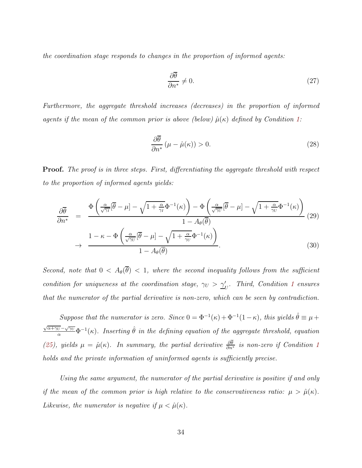the coordination stage responds to changes in the proportion of informed agents:

<span id="page-37-0"></span>
$$
\frac{\partial \overline{\theta}}{\partial n^*} \neq 0. \tag{27}
$$

Furthermore, the aggregate threshold increases (decreases) in the proportion of informed agents if the mean of the common prior is above (below)  $\hat{\mu}(\kappa)$  defined by Condition [1:](#page-13-0)

$$
\frac{\partial \overline{\theta}}{\partial n^*} \left( \mu - \hat{\mu}(\kappa) \right) > 0. \tag{28}
$$

Proof. The proof is in three steps. First, differentiating the aggregate threshold with respect to the proportion of informed agents yields:

$$
\frac{\partial \overline{\theta}}{\partial n^*} = \frac{\Phi\left(\frac{\alpha}{\sqrt{\gamma_I}}[\overline{\theta} - \mu] - \sqrt{1 + \frac{\alpha}{\gamma_I}}\Phi^{-1}(\kappa)\right) - \Phi\left(\frac{\alpha}{\sqrt{\gamma_U}}[\overline{\theta} - \mu] - \sqrt{1 + \frac{\alpha}{\gamma_U}}\Phi^{-1}(\kappa)\right)}{1 - A_\theta(\overline{\theta})}
$$
\n
$$
\rightarrow \frac{1 - \kappa - \Phi\left(\frac{\alpha}{\sqrt{\gamma_U}}[\overline{\theta} - \mu] - \sqrt{1 + \frac{\alpha}{\gamma_U}}\Phi^{-1}(\kappa)\right)}{1 - A_\theta(\overline{\theta})}.
$$
\n(30)

Second, note that  $0 < A_{\theta}(\overline{\theta}) < 1$ , where the second inequality follows from the sufficient condition for uniqueness at the coordination stage,  $\gamma_U > \underline{\gamma}'_U$ . Third, Condition [1](#page-13-0) ensures that the numerator of the partial derivative is non-zero, which can be seen by contradiction.

Suppose that the numerator is zero. Since  $0 = \Phi^{-1}(\kappa) + \Phi^{-1}(1-\kappa)$ , this yields  $\hat{\theta} \equiv \mu + \frac{\hbar \omega}{2m}$  $\frac{\sqrt{\alpha+\gamma_U}-\sqrt{\gamma_U}}{\alpha}\Phi^{-1}(\kappa)$ . Inserting  $\hat{\theta}$  in the defining equation of the aggregate threshold, equation [\(25\)](#page-35-0), yields  $\mu = \hat{\mu}(\kappa)$ . In summary, the partial derivative  $\frac{\partial \theta}{\partial n^*}$  is non-zero if Condition [1](#page-13-0) holds and the private information of uninformed agents is sufficiently precise.

Using the same argument, the numerator of the partial derivative is positive if and only if the mean of the common prior is high relative to the conservativeness ratio:  $\mu > \hat{\mu}(\kappa)$ . Likewise, the numerator is negative if  $\mu < \hat{\mu}(\kappa)$ .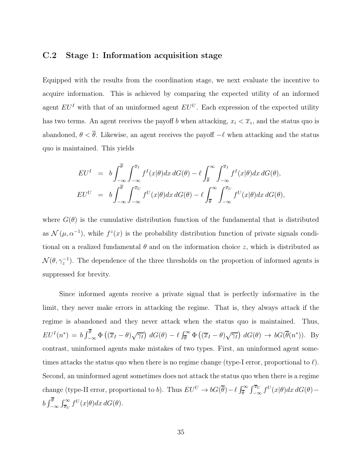#### <span id="page-38-0"></span>C.2 Stage 1: Information acquisition stage

Equipped with the results from the coordination stage, we next evaluate the incentive to acquire information. This is achieved by comparing the expected utility of an informed agent  $EU<sup>I</sup>$  with that of an uninformed agent  $EU<sup>U</sup>$ . Each expression of the expected utility has two terms. An agent receives the payoff b when attacking,  $x_i < \overline{x}_z$ , and the status quo is abandoned,  $\theta < \overline{\theta}$ . Likewise, an agent receives the payoff  $-\ell$  when attacking and the status quo is maintained. This yields

$$
EU^I = b \int_{-\infty}^{\overline{\theta}} \int_{-\infty}^{\overline{x}_I} f^I(x|\theta) dx dG(\theta) - \ell \int_{\overline{\theta}}^{\infty} \int_{-\infty}^{\overline{x}_I} f^I(x|\theta) dx dG(\theta),
$$
  
\n
$$
EU^U = b \int_{-\infty}^{\overline{\theta}} \int_{-\infty}^{\overline{x}_U} f^U(x|\theta) dx dG(\theta) - \ell \int_{\overline{\theta}}^{\infty} \int_{-\infty}^{\overline{x}_U} f^U(x|\theta) dx dG(\theta),
$$

where  $G(\theta)$  is the cumulative distribution function of the fundamental that is distributed as  $\mathcal{N}(\mu, \alpha^{-1})$ , while  $f^z(x)$  is the probability distribution function of private signals conditional on a realized fundamental  $\theta$  and on the information choice z, which is distributed as  $\mathcal{N}(\theta, \gamma_z^{-1})$ . The dependence of the three thresholds on the proportion of informed agents is suppressed for brevity.

Since informed agents receive a private signal that is perfectly informative in the limit, they never make errors in attacking the regime. That is, they always attack if the regime is abandoned and they never attack when the status quo is maintained. Thus,  $EU^{I}(n^{*}) = b \int_{-\infty}^{\theta} \Phi\left((\overline{x}_{I} - \theta)\sqrt{\gamma_{I}}\right) dG(\theta) - \ell \int_{\overline{\theta}}^{\infty} \Phi\left((\overline{x}_{I} - \theta)\sqrt{\gamma_{I}}\right) dG(\theta) \rightarrow bG(\overline{\theta}(n^{*}))$ . By contrast, uninformed agents make mistakes of two types. First, an uninformed agent sometimes attacks the status quo when there is no regime change (type-I error, proportional to  $\ell$ ). Second, an uninformed agent sometimes does not attack the status quo when there is a regime change (type-II error, proportional to b). Thus  $EU^U \to bG(\overline{\theta}) - \ell \int_{\overline{\theta}}^{\infty} \int_{-\infty}^{\overline{x}_U} f^U(x|\theta) dx dG(\theta)$  $b \int_{-}^{\theta}$ −∞  $\int_{\overline{x}_U}^{\infty} f^U(x|\theta) dx dG(\theta).$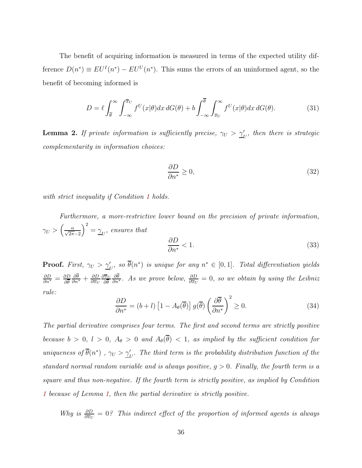The benefit of acquiring information is measured in terms of the expected utility difference  $D(n^*) \equiv EU^{I}(n^*) - EU^{U}(n^*)$ . This sums the errors of an uninformed agent, so the benefit of becoming informed is

$$
D = \ell \int_{\overline{\theta}}^{\infty} \int_{-\infty}^{\overline{x}_U} f^U(x|\theta) dx dG(\theta) + b \int_{-\infty}^{\overline{\theta}} \int_{\overline{x}_U}^{\infty} f^U(x|\theta) dx dG(\theta).
$$
 (31)

<span id="page-39-0"></span>**Lemma 2.** If private information is sufficiently precise,  $\gamma_U > \underline{\gamma}'_U$ , then there is strategic complementarity in information choices:

<span id="page-39-2"></span><span id="page-39-1"></span>
$$
\frac{\partial D}{\partial n^*} \ge 0,\tag{32}
$$

with strict inequality if Condition [1](#page-13-0) holds.

Furthermore, a more-restrictive lower bound on the precision of private information,  $\gamma_U > \left(\frac{\alpha}{\sqrt{2\pi}-2}\right)$  $\Big)^2 = \gamma_{U}, \text{ ensures that}$ ∂D ∂n<sup>∗</sup>  $< 1.$  (33)

**Proof.** First,  $\gamma_U > \gamma_U'$ , so  $\theta(n^*)$  is unique for any  $n^* \in [0,1]$ . Total differentiation yields  $\frac{\partial D}{\partial n^{*}}=\frac{\partial D}{\partial \overline{\theta}}$ ∂θ  $\frac{\partial \theta}{\partial n^*} + \frac{\partial D}{\partial \overline{x}_U}$  $\partial \overline{x}_U$  $\partial \overline{x}_U$ ∂θ  $\frac{\partial \theta}{\partial n^*}$ . As we prove below,  $\frac{\partial D}{\partial \overline{x}_U} = 0$ , so we obtain by using the Leibniz rule:

$$
\frac{\partial D}{\partial n^*} = (b+l) \left[ 1 - A_\theta(\overline{\theta}) \right] g(\overline{\theta}) \left( \frac{\partial \overline{\theta}}{\partial n^*} \right)^2 \ge 0. \tag{34}
$$

The partial derivative comprises four terms. The first and second terms are strictly positive because  $b > 0$ ,  $l > 0$ ,  $A_{\theta} > 0$  and  $A_{\theta}(\overline{\theta}) < 1$ , as implied by the sufficient condition for uniqueness of  $\theta(n^*)$ ,  $\gamma_U > \underline{\gamma}'_U$ . The third term is the probability distribution function of the standard normal random variable and is always positive,  $g > 0$ . Finally, the fourth term is a square and thus non-negative. If the fourth term is strictly positive, as implied by Condition [1](#page-13-0) because of Lemma [1,](#page-36-0) then the partial derivative is strictly positive.

Why is  $\frac{\partial D}{\partial x_U} = 0$ ? This indirect effect of the proportion of informed agents is always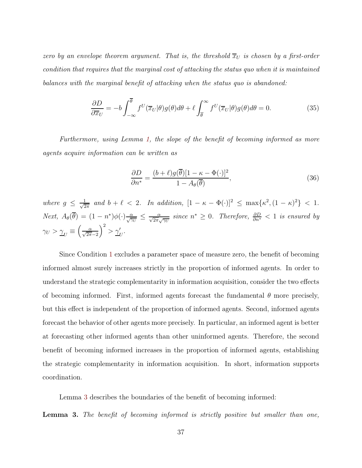zero by an envelope theorem argument. That is, the threshold  $\overline{x}_U$  is chosen by a first-order condition that requires that the marginal cost of attacking the status quo when it is maintained balances with the marginal benefit of attacking when the status quo is abandoned:

<span id="page-40-1"></span>
$$
\frac{\partial D}{\partial \overline{x}_U} = -b \int_{-\infty}^{\overline{\theta}} f^U(\overline{x}_U|\theta) g(\theta) d\theta + \ell \int_{\overline{\theta}}^{\infty} f^U(\overline{x}_U|\theta) g(\theta) d\theta = 0.
$$
 (35)

Furthermore, using Lemma [1,](#page-36-0) the slope of the benefit of becoming informed as more agents acquire information can be written as

$$
\frac{\partial D}{\partial n^*} = \frac{(b+\ell)g(\overline{\theta})[1-\kappa-\Phi(\cdot)]^2}{1-A_{\theta}(\overline{\theta})},\tag{36}
$$

where  $g \leq \frac{1}{\sqrt{2}}$  $\frac{1}{2\pi}$  and  $b + \ell < 2$ . In addition,  $[1 - \kappa - \Phi(\cdot)]^2 \le \max{\kappa^2, (1 - \kappa)^2} < 1$ . Next,  $A_{\theta}(\overline{\theta}) = (1 - n^*)\phi(\cdot)\frac{\alpha}{\sqrt{\gamma_U}} \leq \frac{\alpha}{\sqrt{2\pi}\sqrt{\gamma_U}}$  since  $n^* \geq 0$ . Therefore,  $\frac{\partial D}{\partial n^*} < 1$  is ensured by  $\gamma_U > \underline{\gamma}_U \equiv$  $\left(\frac{\alpha}{\sqrt{2\pi}-2}\right)$  $\bigg)^2 > \underline{\gamma}'_U.$ 

Since Condition [1](#page-13-0) excludes a parameter space of measure zero, the benefit of becoming informed almost surely increases strictly in the proportion of informed agents. In order to understand the strategic complementarity in information acquisition, consider the two effects of becoming informed. First, informed agents forecast the fundamental  $\theta$  more precisely, but this effect is independent of the proportion of informed agents. Second, informed agents forecast the behavior of other agents more precisely. In particular, an informed agent is better at forecasting other informed agents than other uninformed agents. Therefore, the second benefit of becoming informed increases in the proportion of informed agents, establishing the strategic complementarity in information acquisition. In short, information supports coordination.

Lemma [3](#page-40-0) describes the boundaries of the benefit of becoming informed:

<span id="page-40-0"></span>**Lemma 3.** The benefit of becoming informed is strictly positive but smaller than one,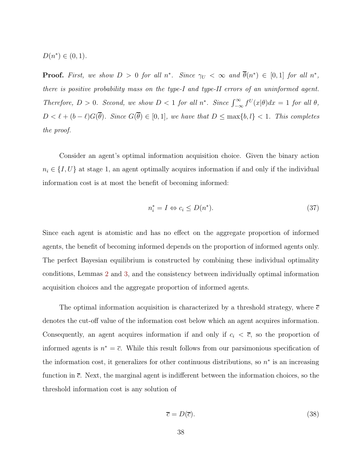$D(n^*) \in (0,1)$ .

**Proof.** First, we show  $D > 0$  for all  $n^*$ . Since  $\gamma_U < \infty$  and  $\theta(n^*) \in [0,1]$  for all  $n^*$ , there is positive probability mass on the type-I and type-II errors of an uninformed agent. Therefore,  $D > 0$ . Second, we show  $D < 1$  for all  $n^*$ . Since  $\int_{-\infty}^{\infty} f^{U}(x|\theta) dx = 1$  for all  $\theta$ ,  $D < \ell + (b - \ell)G(\overline{\theta})$ . Since  $G(\overline{\theta}) \in [0, 1]$ , we have that  $D \le \max\{b, l\} < 1$ . This completes the proof.

Consider an agent's optimal information acquisition choice. Given the binary action  $n_i \in \{I, U\}$  at stage 1, an agent optimally acquires information if and only if the individual information cost is at most the benefit of becoming informed:

$$
n_i^* = I \Leftrightarrow c_i \le D(n^*). \tag{37}
$$

Since each agent is atomistic and has no effect on the aggregate proportion of informed agents, the benefit of becoming informed depends on the proportion of informed agents only. The perfect Bayesian equilibrium is constructed by combining these individual optimality conditions, Lemmas [2](#page-39-0) and [3,](#page-40-0) and the consistency between individually optimal information acquisition choices and the aggregate proportion of informed agents.

The optimal information acquisition is characterized by a threshold strategy, where  $\bar{c}$ denotes the cut-off value of the information cost below which an agent acquires information. Consequently, an agent acquires information if and only if  $c_i < \overline{c}$ , so the proportion of informed agents is  $n^* = \overline{c}$ . While this result follows from our parsimonious specification of the information cost, it generalizes for other continuous distributions, so  $n^*$  is an increasing function in  $\bar{c}$ . Next, the marginal agent is indifferent between the information choices, so the threshold information cost is any solution of

<span id="page-41-0"></span>
$$
\overline{c} = D(\overline{c}).\tag{38}
$$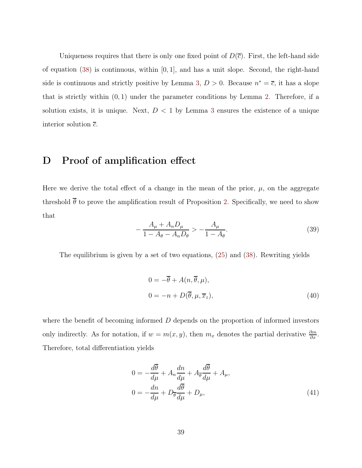Uniqueness requires that there is only one fixed point of  $D(\bar{c})$ . First, the left-hand side of equation [\(38\)](#page-41-0) is continuous, within  $[0, 1]$ , and has a unit slope. Second, the right-hand side is continuous and strictly positive by Lemma [3,](#page-40-0)  $D > 0$ . Because  $n^* = \overline{c}$ , it has a slope that is strictly within  $(0, 1)$  under the parameter conditions by Lemma [2.](#page-39-0) Therefore, if a solution exists, it is unique. Next,  $D < 1$  by Lemma [3](#page-40-0) ensures the existence of a unique interior solution  $\overline{c}$ .

## <span id="page-42-0"></span>D Proof of amplification effect

Here we derive the total effect of a change in the mean of the prior,  $\mu$ , on the aggregate threshold  $\overline{\theta}$  to prove the amplification result of Proposition [2.](#page-16-0) Specifically, we need to show that

$$
-\frac{A_{\mu} + A_n D_{\mu}}{1 - A_{\theta} - A_n D_{\theta}} > -\frac{A_{\mu}}{1 - A_{\theta}}.\tag{39}
$$

The equilibrium is given by a set of two equations, [\(25\)](#page-35-0) and [\(38\)](#page-41-0). Rewriting yields

$$
0 = -\overline{\theta} + A(n, \overline{\theta}, \mu),
$$
  
\n
$$
0 = -n + D(\overline{\theta}, \mu, \overline{x}_z),
$$
\n(40)

where the benefit of becoming informed  $D$  depends on the proportion of informed investors only indirectly. As for notation, if  $w = m(x, y)$ , then  $m_x$  denotes the partial derivative  $\frac{\partial m}{\partial x}$ . Therefore, total differentiation yields

$$
0 = -\frac{d\overline{\theta}}{d\mu} + A_n \frac{dn}{d\mu} + A_{\overline{\theta}} \frac{d\overline{\theta}}{d\mu} + A_{\mu},
$$
  

$$
0 = -\frac{dn}{d\mu} + D_{\overline{\theta}} \frac{d\overline{\theta}}{d\mu} + D_{\mu},
$$
 (41)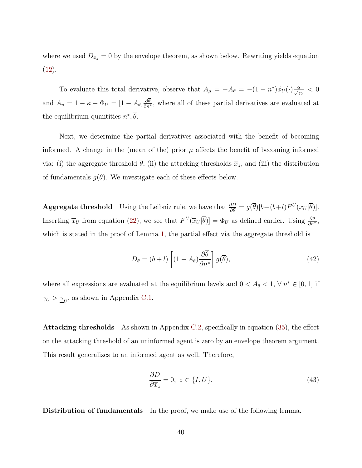where we used  $D_{\bar{x}_z} = 0$  by the envelope theorem, as shown below. Rewriting yields equation  $(12).$  $(12).$ 

To evaluate this total derivative, observe that  $A_{\mu} = -A_{\theta} = -(1 - n^*)\phi_U(\cdot)\frac{\alpha}{\sqrt{N}\nu} < 0$ and  $A_n = 1 - \kappa - \Phi_U = [1 - A_\theta] \frac{\partial \theta}{\partial n^*},$  where all of these partial derivatives are evaluated at the equilibrium quantities  $n^*, \theta$ .

Next, we determine the partial derivatives associated with the benefit of becoming informed. A change in the (mean of the) prior  $\mu$  affects the benefit of becoming informed via: (i) the aggregate threshold  $\bar{\theta}$ , (ii) the attacking thresholds  $\bar{x}_z$ , and (iii) the distribution of fundamentals  $g(\theta)$ . We investigate each of these effects below.

**Aggregate threshold** Using the Leibniz rule, we have that  $\frac{\partial D}{\partial \theta} = g(\overline{\theta})[b-(b+l)F^{U}(\overline{x}_{U}|\overline{\theta})].$ Inserting  $\overline{x}_U$  from equation [\(22\)](#page-35-1), we see that  $F^U(\overline{x}_U|\overline{\theta})] = \Phi_U$  as defined earlier. Using  $\frac{\partial \theta}{\partial n^*}$ , which is stated in the proof of Lemma [1,](#page-36-0) the partial effect via the aggregate threshold is

$$
D_{\theta} = (b+l) \left[ (1 - A_{\theta}) \frac{\partial \overline{\theta}}{\partial n^*} \right] g(\overline{\theta}), \tag{42}
$$

where all expressions are evaluated at the equilibrium levels and  $0 < A_{\theta} < 1$ ,  $\forall n^* \in [0, 1]$  if  $\gamma_U > \underline{\gamma}_U$ , as shown in Appendix [C.1.](#page-33-2)

**Attacking thresholds** As shown in Appendix [C.2,](#page-38-0) specifically in equation  $(35)$ , the effect on the attacking threshold of an uninformed agent is zero by an envelope theorem argument. This result generalizes to an informed agent as well. Therefore,

$$
\frac{\partial D}{\partial \overline{x}_z} = 0, \ z \in \{I, U\}.
$$
 (43)

Distribution of fundamentals In the proof, we make use of the following lemma.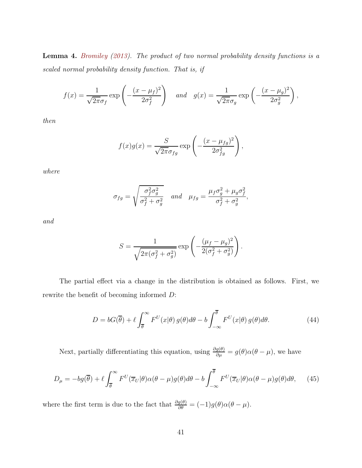Lemma 4. [Bromiley](#page-23-10) [\(2013\)](#page-23-10). The product of two normal probability density functions is a scaled normal probability density function. That is, if

$$
f(x) = \frac{1}{\sqrt{2\pi}\sigma_f} \exp\left(-\frac{(x-\mu_f)^2}{2\sigma_f^2}\right) \quad and \quad g(x) = \frac{1}{\sqrt{2\pi}\sigma_g} \exp\left(-\frac{(x-\mu_g)^2}{2\sigma_g^2}\right),
$$

then

$$
f(x)g(x) = \frac{S}{\sqrt{2\pi}\sigma_{fg}} \exp\left(-\frac{(x-\mu_{fg})^2}{2\sigma_{fg}^2}\right),
$$

where

$$
\sigma_{fg} = \sqrt{\frac{\sigma_f^2 \sigma_g^2}{\sigma_f^2 + \sigma_g^2}} \quad \text{and} \quad \mu_{fg} = \frac{\mu_f \sigma_g^2 + \mu_g \sigma_f^2}{\sigma_f^2 + \sigma_g^2},
$$

and

$$
S = \frac{1}{\sqrt{2\pi(\sigma_f^2 + \sigma_g^2)}} \exp\left(-\frac{(\mu_f - \mu_g)^2}{2(\sigma_f^2 + \sigma_g^2)}\right).
$$

The partial effect via a change in the distribution is obtained as follows. First, we rewrite the benefit of becoming informed D:

$$
D = bG(\overline{\theta}) + \ell \int_{\overline{\theta}}^{\infty} F^{U}(x|\theta) g(\theta) d\theta - b \int_{-\infty}^{\overline{\theta}} F^{U}(x|\theta) g(\theta) d\theta.
$$
 (44)

Next, partially differentiating this equation, using  $\frac{\partial g(\theta)}{\partial \mu} = g(\theta)\alpha(\theta - \mu)$ , we have

<span id="page-44-0"></span>
$$
D_{\mu} = -bg(\overline{\theta}) + \ell \int_{\overline{\theta}}^{\infty} F^{U}(\overline{x}_{U}|\theta) \alpha(\theta - \mu) g(\theta) d\theta - b \int_{-\infty}^{\overline{\theta}} F^{U}(\overline{x}_{U}|\theta) \alpha(\theta - \mu) g(\theta) d\theta, \quad (45)
$$

where the first term is due to the fact that  $\frac{\partial g(\theta)}{\partial \theta} = (-1)g(\theta)\alpha(\theta - \mu)$ .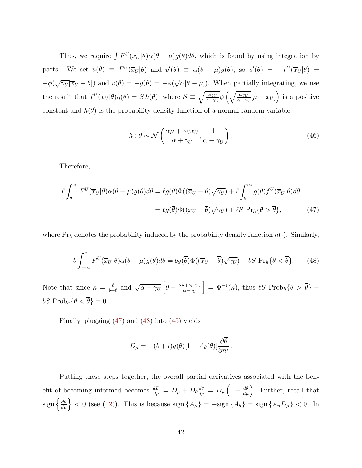Thus, we require  $\int F^{U}(\overline{x}_{U}|\theta) \alpha(\theta - \mu) g(\theta) d\theta$ , which is found by using integration by parts. We set  $u(\theta) \equiv F^{U}(\overline{x}_{U}|\theta)$  and  $v'(\theta) \equiv \alpha(\theta - \mu)g(\theta)$ , so  $u'(\theta) = -f^{U}(\overline{x}_{U}|\theta)$  $-\phi(\sqrt{\gamma_U}[\overline{x}_U-\theta])$  and  $v(\theta)=-g(\theta)=-\phi(\sqrt{\alpha}[\theta-\mu])$ . When partially integrating, we use the result that  $f^U(\overline{x}_U|\theta)g(\theta) = S h(\theta)$ , where  $S \equiv \sqrt{\frac{\alpha \gamma_U}{\alpha + \gamma_U}}$  $\sqrt{\frac{\alpha \gamma_U}{\alpha + \gamma_U}} \phi \left(\sqrt{\frac{\alpha \gamma_U}{\alpha + \gamma_U}}\right)$  $\sqrt{\frac{\alpha\gamma_U}{\alpha+\gamma_U}}[\mu-\overline{x}_U]$  is a positive constant and  $h(\theta)$  is the probability density function of a normal random variable:

<span id="page-45-0"></span>
$$
h: \theta \sim \mathcal{N}\left(\frac{\alpha\mu + \gamma_U \overline{x}_U}{\alpha + \gamma_U}, \frac{1}{\alpha + \gamma_U}\right). \tag{46}
$$

Therefore,

$$
\ell \int_{\overline{\theta}}^{\infty} F^{U}(\overline{x}_{U}|\theta) \alpha(\theta - \mu) g(\theta) d\theta = \ell g(\overline{\theta}) \Phi((\overline{x}_{U} - \overline{\theta}) \sqrt{\gamma_{U}}) + \ell \int_{\overline{\theta}}^{\infty} g(\theta) f^{U}(\overline{x}_{U}|\theta) d\theta
$$

$$
= \ell g(\overline{\theta}) \Phi((\overline{x}_{U} - \overline{\theta}) \sqrt{\gamma_{U}}) + \ell S \Pr_{h} \{\theta > \overline{\theta}\}, \tag{47}
$$

where  $Pr_h$  denotes the probability induced by the probability density function  $h(\cdot)$ . Similarly,

$$
-b\int_{-\infty}^{\overline{\theta}} F^{U}(\overline{x}_{U}|\theta)\alpha(\theta-\mu)g(\theta)d\theta = bg(\overline{\theta})\Phi((\overline{x}_{U}-\overline{\theta})\sqrt{\gamma_{U}}) - bS \Pr_{h}\{\theta < \overline{\theta}\}. \tag{48}
$$

Note that since  $\kappa = \frac{\ell}{b+1}$  $\frac{\ell}{b+\ell}$  and  $\sqrt{\alpha + \gamma_U} \left[ \theta - \frac{\alpha \mu + \gamma_U \overline{x}_U}{\alpha + \gamma_U} \right]$  $\alpha + \gamma U$  $\Big] = \Phi^{-1}(\kappa)$ , thus  $\ell S \text{ Prob}_h\{\theta > \overline{\theta}\}$  – bS Prob<sub>h</sub> $\{\theta < \overline{\theta}\} = 0$ .

Finally, plugging [\(47\)](#page-45-0) and [\(48\)](#page-45-1) into [\(45\)](#page-44-0) yields

<span id="page-45-1"></span>
$$
D_{\mu} = -(b+l)g(\overline{\theta})[1 - A_{\theta}(\overline{\theta})] \frac{\partial \overline{\theta}}{\partial n^*}.
$$

Putting these steps together, the overall partial derivatives associated with the benefit of becoming informed becomes  $\frac{dD}{d\mu} = D_{\mu} + D_{\theta} \frac{d\theta}{d\mu} = D_{\mu} \left(1 - \frac{d\theta}{d\mu}\right)$ . Further, recall that sign  $\left\{\frac{d\theta}{d\mu}\right\}$  < 0 (see [\(12\)](#page-15-1)). This is because sign  $\{A_{\mu}\}$  =  $-\text{sign}\{A_{\theta}\}$  = sign  $\{A_n D_{\mu}\}$  < 0. In